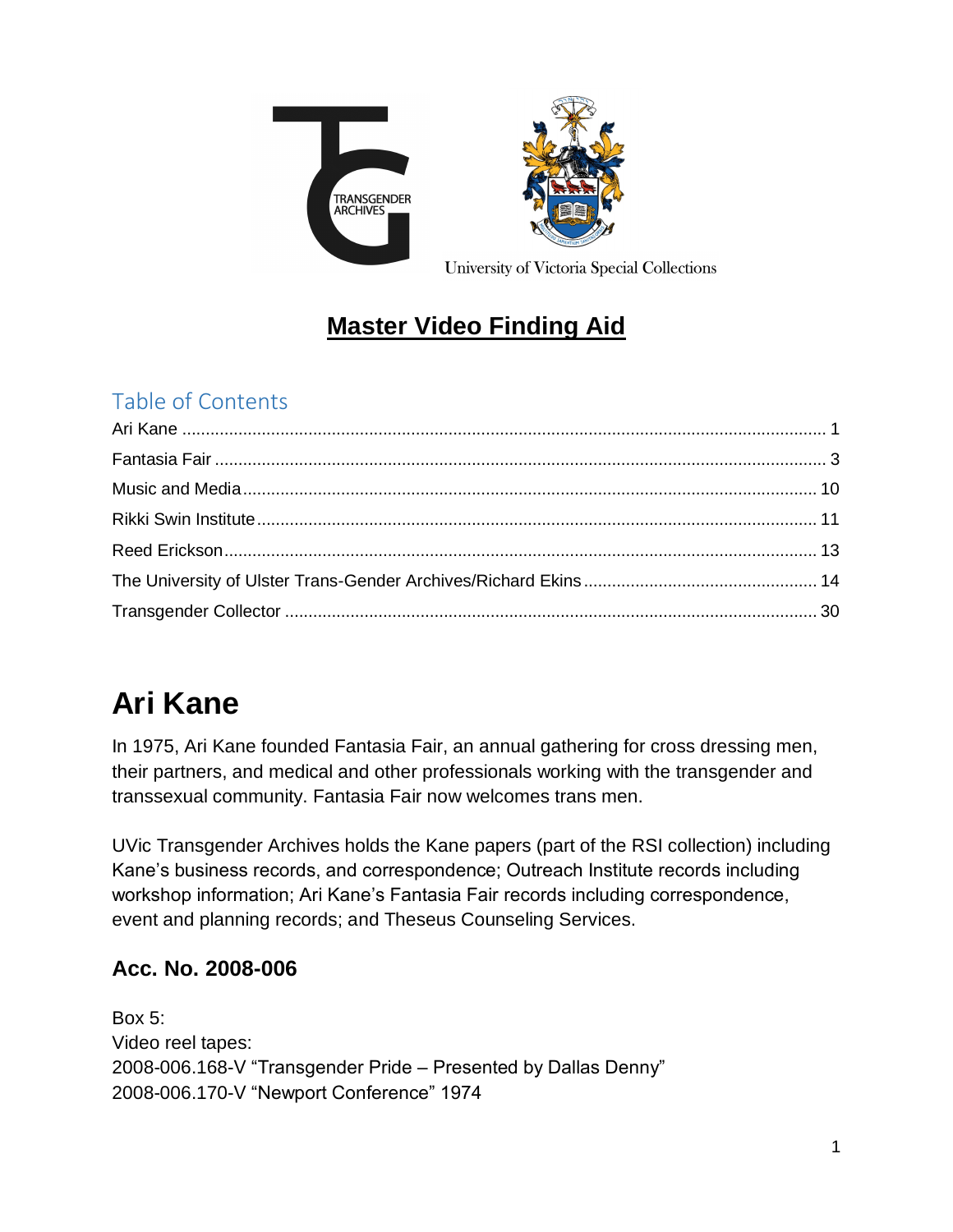

## **Master Video Finding Aid**

### Table of Contents

# <span id="page-0-0"></span>**Ari Kane**

In 1975, Ari Kane founded Fantasia Fair, an annual gathering for cross dressing men, their partners, and medical and other professionals working with the transgender and transsexual community. Fantasia Fair now welcomes trans men.

UVic Transgender Archives holds the Kane papers (part of the RSI collection) including Kane's business records, and correspondence; Outreach Institute records including workshop information; Ari Kane's Fantasia Fair records including correspondence, event and planning records; and Theseus Counseling Services.

### **Acc. No. 2008-006**

Box 5: Video reel tapes: 2008-006.168-V "Transgender Pride – Presented by Dallas Denny" 2008-006.170-V "Newport Conference" 1974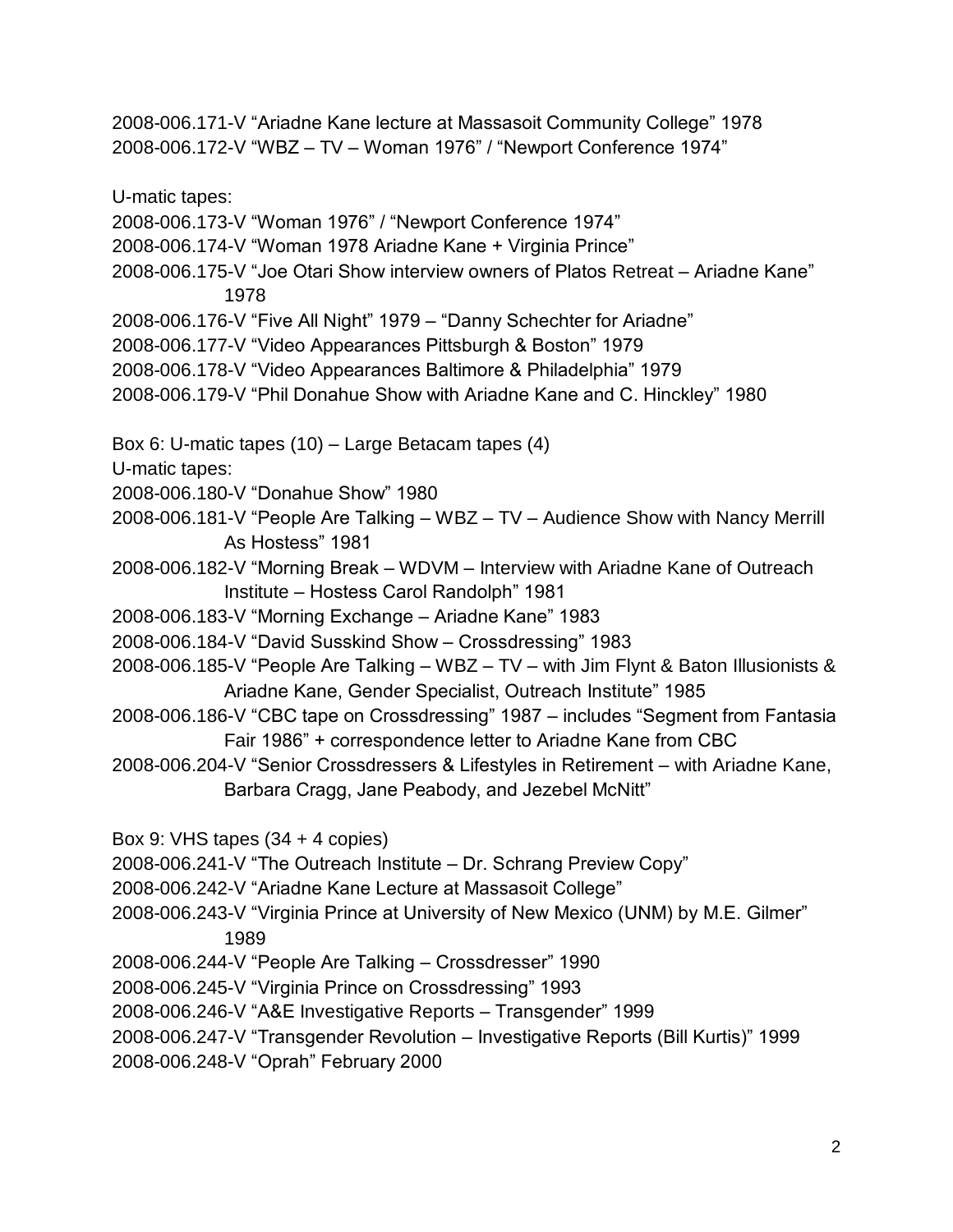2008-006.171-V "Ariadne Kane lecture at Massasoit Community College" 1978 2008-006.172-V "WBZ – TV – Woman 1976" / "Newport Conference 1974"

U-matic tapes:

2008-006.173-V "Woman 1976" / "Newport Conference 1974"

2008-006.174-V "Woman 1978 Ariadne Kane + Virginia Prince"

2008-006.175-V "Joe Otari Show interview owners of Platos Retreat – Ariadne Kane" 1978

2008-006.176-V "Five All Night" 1979 – "Danny Schechter for Ariadne"

2008-006.177-V "Video Appearances Pittsburgh & Boston" 1979

2008-006.178-V "Video Appearances Baltimore & Philadelphia" 1979

2008-006.179-V "Phil Donahue Show with Ariadne Kane and C. Hinckley" 1980

Box 6: U-matic tapes (10) – Large Betacam tapes (4)

U-matic tapes:

2008-006.180-V "Donahue Show" 1980

2008-006.181-V "People Are Talking – WBZ – TV – Audience Show with Nancy Merrill As Hostess" 1981

2008-006.182-V "Morning Break – WDVM – Interview with Ariadne Kane of Outreach Institute – Hostess Carol Randolph" 1981

2008-006.183-V "Morning Exchange – Ariadne Kane" 1983

2008-006.184-V "David Susskind Show – Crossdressing" 1983

2008-006.185-V "People Are Talking – WBZ – TV – with Jim Flynt & Baton Illusionists & Ariadne Kane, Gender Specialist, Outreach Institute" 1985

2008-006.186-V "CBC tape on Crossdressing" 1987 – includes "Segment from Fantasia Fair 1986" + correspondence letter to Ariadne Kane from CBC

2008-006.204-V "Senior Crossdressers & Lifestyles in Retirement – with Ariadne Kane, Barbara Cragg, Jane Peabody, and Jezebel McNitt"

Box 9: VHS tapes (34 + 4 copies)

2008-006.241-V "The Outreach Institute – Dr. Schrang Preview Copy"

- 2008-006.242-V "Ariadne Kane Lecture at Massasoit College"
- 2008-006.243-V "Virginia Prince at University of New Mexico (UNM) by M.E. Gilmer" 1989

2008-006.244-V "People Are Talking – Crossdresser" 1990

2008-006.245-V "Virginia Prince on Crossdressing" 1993

2008-006.246-V "A&E Investigative Reports – Transgender" 1999

2008-006.247-V "Transgender Revolution – Investigative Reports (Bill Kurtis)" 1999

2008-006.248-V "Oprah" February 2000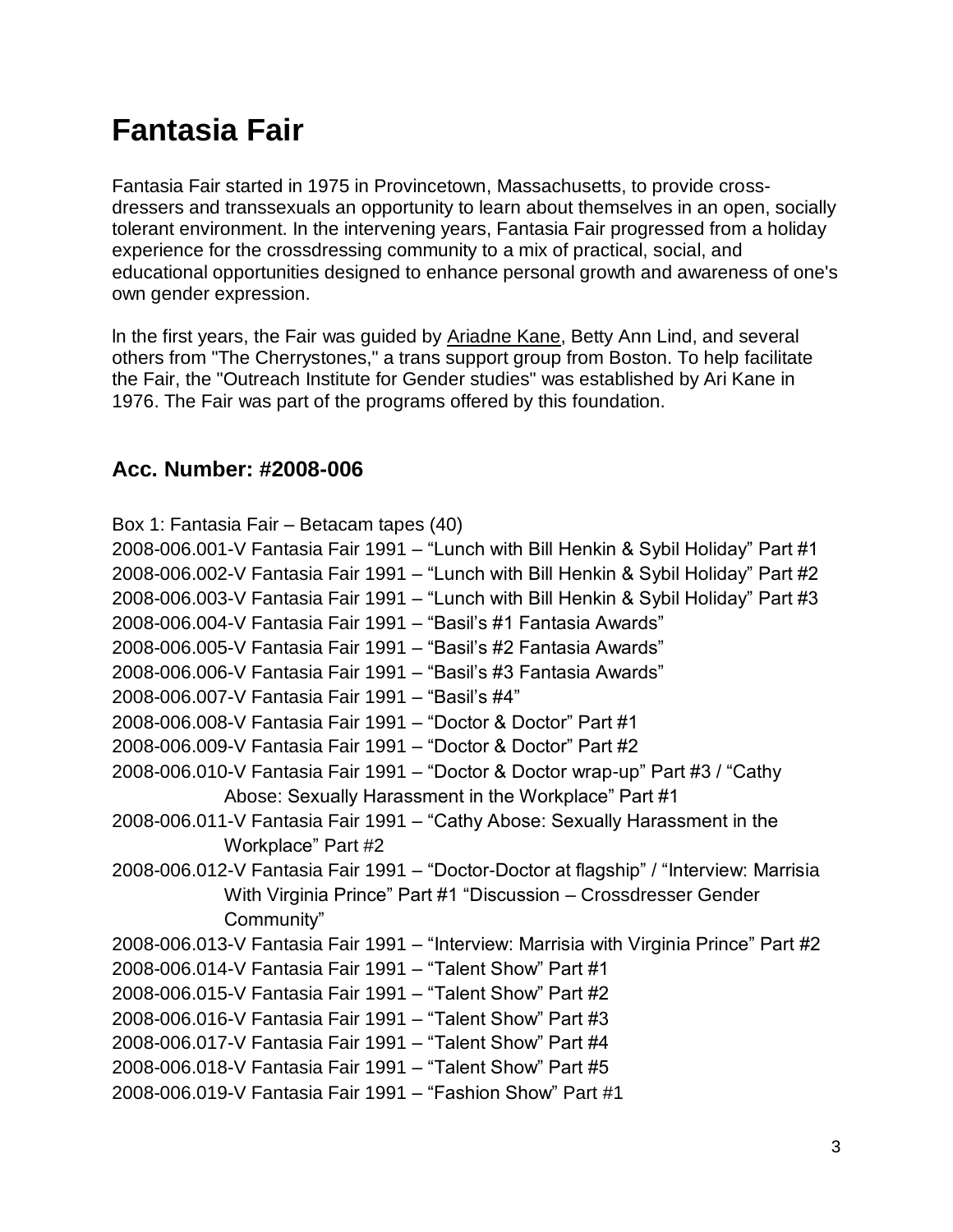# <span id="page-2-0"></span>**Fantasia Fair**

Fantasia Fair started in 1975 in Provincetown, Massachusetts, to provide crossdressers and transsexuals an opportunity to learn about themselves in an open, socially tolerant environment. In the intervening years, Fantasia Fair progressed from a holiday experience for the crossdressing community to a mix of practical, social, and educational opportunities designed to enhance personal growth and awareness of one's own gender expression.

ln the first years, the Fair was guided by [Ariadne](https://www.uvic.ca/transgenderarchives/collections/ari-kane/index.php) Kane, Betty Ann Lind, and several others from "The Cherrystones," a trans support group from Boston. To help facilitate the Fair, the "Outreach Institute for Gender studies" was established by Ari Kane in 1976. The Fair was part of the programs offered by this foundation.

#### **Acc. Number: #2008-006**

Box 1: Fantasia Fair – Betacam tapes (40) 2008-006.001-V Fantasia Fair 1991 – "Lunch with Bill Henkin & Sybil Holiday" Part #1 2008-006.002-V Fantasia Fair 1991 – "Lunch with Bill Henkin & Sybil Holiday" Part #2 2008-006.003-V Fantasia Fair 1991 – "Lunch with Bill Henkin & Sybil Holiday" Part #3 2008-006.004-V Fantasia Fair 1991 – "Basil's #1 Fantasia Awards" 2008-006.005-V Fantasia Fair 1991 – "Basil's #2 Fantasia Awards" 2008-006.006-V Fantasia Fair 1991 – "Basil's #3 Fantasia Awards" 2008-006.007-V Fantasia Fair 1991 – "Basil's #4" 2008-006.008-V Fantasia Fair 1991 – "Doctor & Doctor" Part #1 2008-006.009-V Fantasia Fair 1991 – "Doctor & Doctor" Part #2 2008-006.010-V Fantasia Fair 1991 – "Doctor & Doctor wrap-up" Part #3 / "Cathy Abose: Sexually Harassment in the Workplace" Part #1 2008-006.011-V Fantasia Fair 1991 – "Cathy Abose: Sexually Harassment in the Workplace" Part #2 2008-006.012-V Fantasia Fair 1991 – "Doctor-Doctor at flagship" / "Interview: Marrisia With Virginia Prince" Part #1 "Discussion – Crossdresser Gender Community" 2008-006.013-V Fantasia Fair 1991 – "Interview: Marrisia with Virginia Prince" Part #2 2008-006.014-V Fantasia Fair 1991 – "Talent Show" Part #1 2008-006.015-V Fantasia Fair 1991 – "Talent Show" Part #2 2008-006.016-V Fantasia Fair 1991 – "Talent Show" Part #3 2008-006.017-V Fantasia Fair 1991 – "Talent Show" Part #4 2008-006.018-V Fantasia Fair 1991 – "Talent Show" Part #5 2008-006.019-V Fantasia Fair 1991 – "Fashion Show" Part #1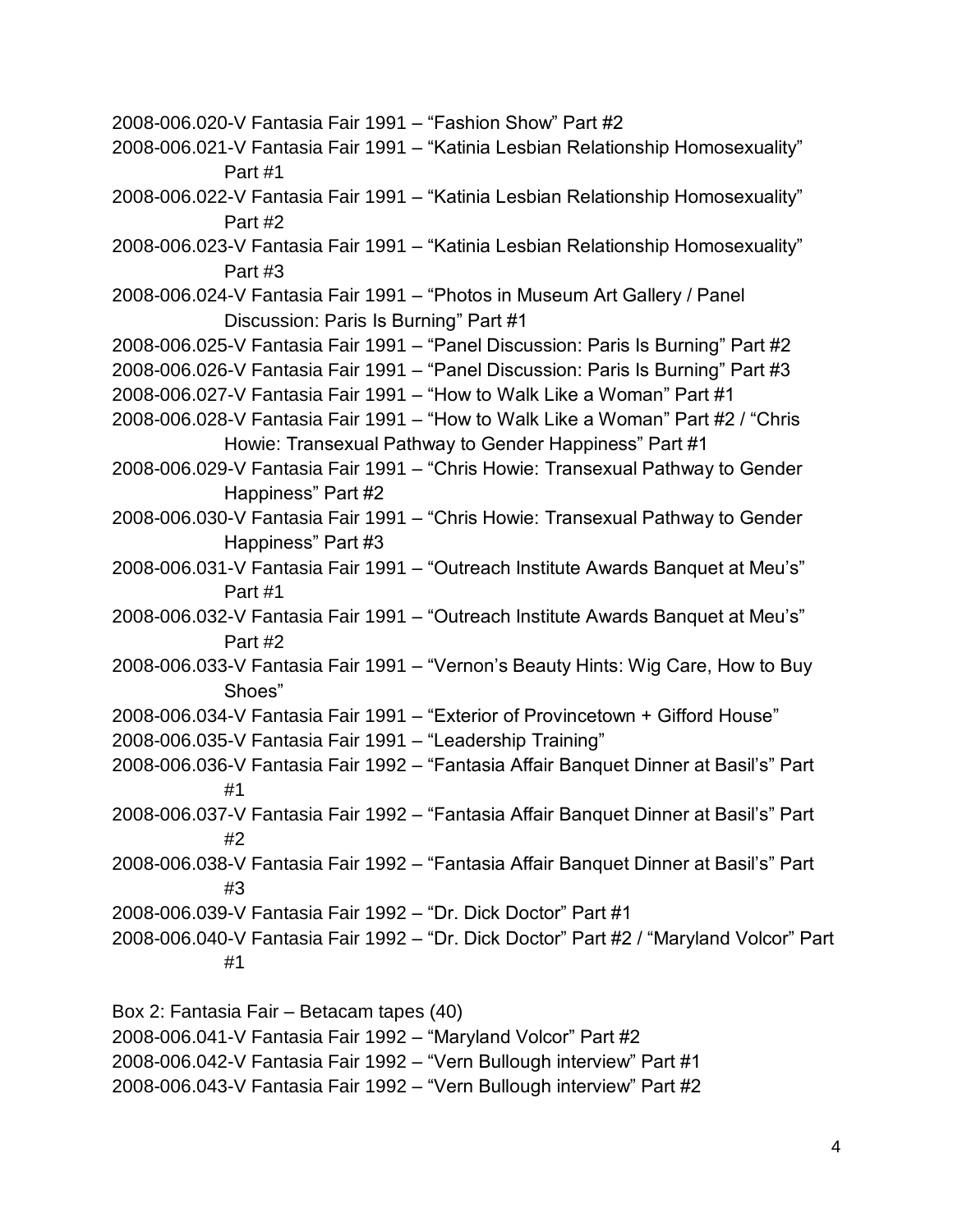2008-006.020-V Fantasia Fair 1991 – "Fashion Show" Part #2 2008-006.021-V Fantasia Fair 1991 – "Katinia Lesbian Relationship Homosexuality" Part #1 2008-006.022-V Fantasia Fair 1991 – "Katinia Lesbian Relationship Homosexuality" Part #2 2008-006.023-V Fantasia Fair 1991 – "Katinia Lesbian Relationship Homosexuality" Part #3 2008-006.024-V Fantasia Fair 1991 – "Photos in Museum Art Gallery / Panel Discussion: Paris Is Burning" Part #1 2008-006.025-V Fantasia Fair 1991 – "Panel Discussion: Paris Is Burning" Part #2 2008-006.026-V Fantasia Fair 1991 – "Panel Discussion: Paris Is Burning" Part #3 2008-006.027-V Fantasia Fair 1991 – "How to Walk Like a Woman" Part #1 2008-006.028-V Fantasia Fair 1991 – "How to Walk Like a Woman" Part #2 / "Chris Howie: Transexual Pathway to Gender Happiness" Part #1 2008-006.029-V Fantasia Fair 1991 – "Chris Howie: Transexual Pathway to Gender Happiness" Part #2 2008-006.030-V Fantasia Fair 1991 – "Chris Howie: Transexual Pathway to Gender Happiness" Part #3 2008-006.031-V Fantasia Fair 1991 – "Outreach Institute Awards Banquet at Meu's" Part #1 2008-006.032-V Fantasia Fair 1991 – "Outreach Institute Awards Banquet at Meu's" Part #2 2008-006.033-V Fantasia Fair 1991 – "Vernon's Beauty Hints: Wig Care, How to Buy Shoes" 2008-006.034-V Fantasia Fair 1991 – "Exterior of Provincetown + Gifford House" 2008-006.035-V Fantasia Fair 1991 – "Leadership Training" 2008-006.036-V Fantasia Fair 1992 – "Fantasia Affair Banquet Dinner at Basil's" Part #1 2008-006.037-V Fantasia Fair 1992 – "Fantasia Affair Banquet Dinner at Basil's" Part #2 2008-006.038-V Fantasia Fair 1992 – "Fantasia Affair Banquet Dinner at Basil's" Part #3 2008-006.039-V Fantasia Fair 1992 – "Dr. Dick Doctor" Part #1 2008-006.040-V Fantasia Fair 1992 – "Dr. Dick Doctor" Part #2 / "Maryland Volcor" Part #1 Box 2: Fantasia Fair – Betacam tapes (40)

2008-006.042-V Fantasia Fair 1992 – "Vern Bullough interview" Part #1

2008-006.041-V Fantasia Fair 1992 – "Maryland Volcor" Part #2

2008-006.043-V Fantasia Fair 1992 – "Vern Bullough interview" Part #2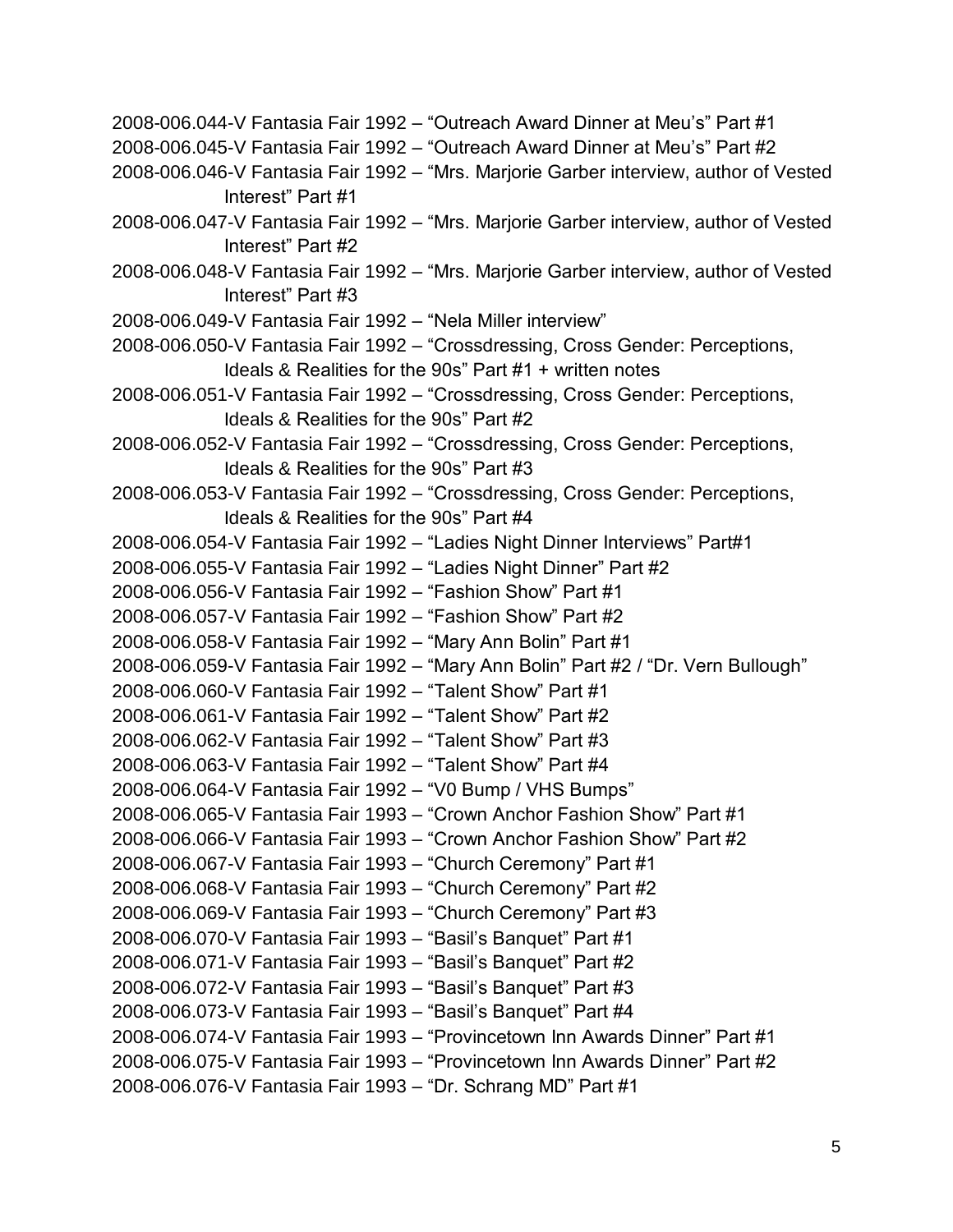2008-006.044-V Fantasia Fair 1992 – "Outreach Award Dinner at Meu's" Part #1 2008-006.045-V Fantasia Fair 1992 – "Outreach Award Dinner at Meu's" Part #2 2008-006.046-V Fantasia Fair 1992 – "Mrs. Marjorie Garber interview, author of Vested Interest" Part #1 2008-006.047-V Fantasia Fair 1992 – "Mrs. Marjorie Garber interview, author of Vested Interest" Part #2 2008-006.048-V Fantasia Fair 1992 – "Mrs. Marjorie Garber interview, author of Vested Interest" Part #3 2008-006.049-V Fantasia Fair 1992 – "Nela Miller interview" 2008-006.050-V Fantasia Fair 1992 – "Crossdressing, Cross Gender: Perceptions, Ideals & Realities for the 90s" Part #1 + written notes 2008-006.051-V Fantasia Fair 1992 – "Crossdressing, Cross Gender: Perceptions, Ideals & Realities for the 90s" Part #2 2008-006.052-V Fantasia Fair 1992 – "Crossdressing, Cross Gender: Perceptions, Ideals & Realities for the 90s" Part #3 2008-006.053-V Fantasia Fair 1992 – "Crossdressing, Cross Gender: Perceptions, Ideals & Realities for the 90s" Part #4 2008-006.054-V Fantasia Fair 1992 – "Ladies Night Dinner Interviews" Part#1 2008-006.055-V Fantasia Fair 1992 – "Ladies Night Dinner" Part #2 2008-006.056-V Fantasia Fair 1992 – "Fashion Show" Part #1 2008-006.057-V Fantasia Fair 1992 – "Fashion Show" Part #2 2008-006.058-V Fantasia Fair 1992 – "Mary Ann Bolin" Part #1 2008-006.059-V Fantasia Fair 1992 – "Mary Ann Bolin" Part #2 / "Dr. Vern Bullough" 2008-006.060-V Fantasia Fair 1992 – "Talent Show" Part #1 2008-006.061-V Fantasia Fair 1992 – "Talent Show" Part #2 2008-006.062-V Fantasia Fair 1992 – "Talent Show" Part #3 2008-006.063-V Fantasia Fair 1992 – "Talent Show" Part #4 2008-006.064-V Fantasia Fair 1992 – "V0 Bump / VHS Bumps" 2008-006.065-V Fantasia Fair 1993 – "Crown Anchor Fashion Show" Part #1 2008-006.066-V Fantasia Fair 1993 – "Crown Anchor Fashion Show" Part #2 2008-006.067-V Fantasia Fair 1993 – "Church Ceremony" Part #1 2008-006.068-V Fantasia Fair 1993 – "Church Ceremony" Part #2 2008-006.069-V Fantasia Fair 1993 – "Church Ceremony" Part #3 2008-006.070-V Fantasia Fair 1993 – "Basil's Banquet" Part #1 2008-006.071-V Fantasia Fair 1993 – "Basil's Banquet" Part #2 2008-006.072-V Fantasia Fair 1993 – "Basil's Banquet" Part #3 2008-006.073-V Fantasia Fair 1993 – "Basil's Banquet" Part #4 2008-006.074-V Fantasia Fair 1993 – "Provincetown Inn Awards Dinner" Part #1 2008-006.075-V Fantasia Fair 1993 – "Provincetown Inn Awards Dinner" Part #2 2008-006.076-V Fantasia Fair 1993 – "Dr. Schrang MD" Part #1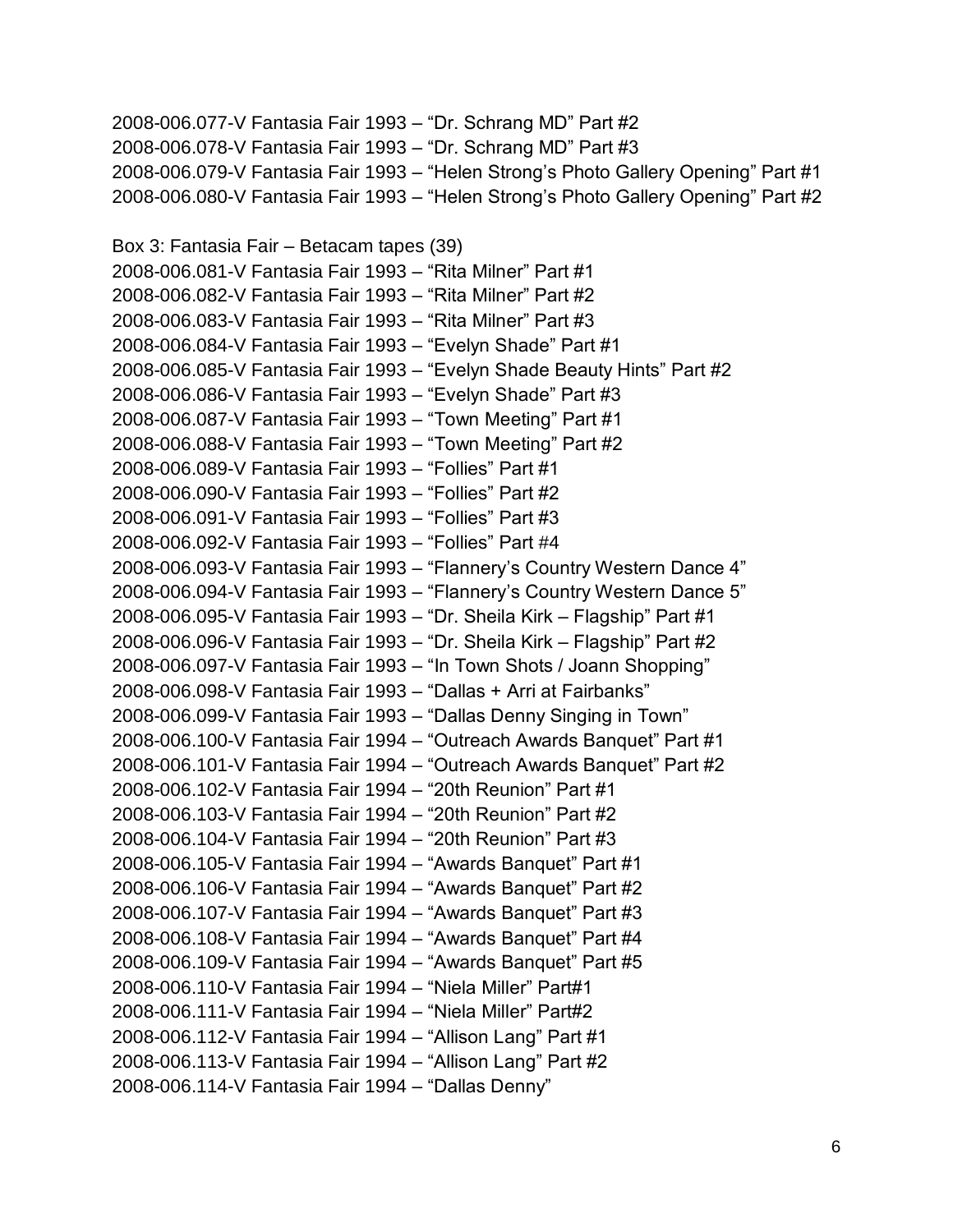2008-006.077-V Fantasia Fair 1993 – "Dr. Schrang MD" Part #2 2008-006.078-V Fantasia Fair 1993 – "Dr. Schrang MD" Part #3 2008-006.079-V Fantasia Fair 1993 – "Helen Strong's Photo Gallery Opening" Part #1 2008-006.080-V Fantasia Fair 1993 – "Helen Strong's Photo Gallery Opening" Part #2

Box 3: Fantasia Fair – Betacam tapes (39) 2008-006.081-V Fantasia Fair 1993 – "Rita Milner" Part #1 2008-006.082-V Fantasia Fair 1993 – "Rita Milner" Part #2 2008-006.083-V Fantasia Fair 1993 – "Rita Milner" Part #3 2008-006.084-V Fantasia Fair 1993 – "Evelyn Shade" Part #1 2008-006.085-V Fantasia Fair 1993 – "Evelyn Shade Beauty Hints" Part #2 2008-006.086-V Fantasia Fair 1993 – "Evelyn Shade" Part #3 2008-006.087-V Fantasia Fair 1993 – "Town Meeting" Part #1 2008-006.088-V Fantasia Fair 1993 – "Town Meeting" Part #2 2008-006.089-V Fantasia Fair 1993 – "Follies" Part #1 2008-006.090-V Fantasia Fair 1993 – "Follies" Part #2 2008-006.091-V Fantasia Fair 1993 – "Follies" Part #3 2008-006.092-V Fantasia Fair 1993 – "Follies" Part #4 2008-006.093-V Fantasia Fair 1993 – "Flannery's Country Western Dance 4" 2008-006.094-V Fantasia Fair 1993 – "Flannery's Country Western Dance 5" 2008-006.095-V Fantasia Fair 1993 – "Dr. Sheila Kirk – Flagship" Part #1 2008-006.096-V Fantasia Fair 1993 – "Dr. Sheila Kirk – Flagship" Part #2 2008-006.097-V Fantasia Fair 1993 – "In Town Shots / Joann Shopping" 2008-006.098-V Fantasia Fair 1993 – "Dallas + Arri at Fairbanks" 2008-006.099-V Fantasia Fair 1993 – "Dallas Denny Singing in Town" 2008-006.100-V Fantasia Fair 1994 – "Outreach Awards Banquet" Part #1 2008-006.101-V Fantasia Fair 1994 – "Outreach Awards Banquet" Part #2 2008-006.102-V Fantasia Fair 1994 – "20th Reunion" Part #1 2008-006.103-V Fantasia Fair 1994 – "20th Reunion" Part #2 2008-006.104-V Fantasia Fair 1994 – "20th Reunion" Part #3 2008-006.105-V Fantasia Fair 1994 – "Awards Banquet" Part #1 2008-006.106-V Fantasia Fair 1994 – "Awards Banquet" Part #2 2008-006.107-V Fantasia Fair 1994 – "Awards Banquet" Part #3 2008-006.108-V Fantasia Fair 1994 – "Awards Banquet" Part #4 2008-006.109-V Fantasia Fair 1994 – "Awards Banquet" Part #5 2008-006.110-V Fantasia Fair 1994 – "Niela Miller" Part#1 2008-006.111-V Fantasia Fair 1994 – "Niela Miller" Part#2 2008-006.112-V Fantasia Fair 1994 – "Allison Lang" Part #1 2008-006.113-V Fantasia Fair 1994 – "Allison Lang" Part #2 2008-006.114-V Fantasia Fair 1994 – "Dallas Denny"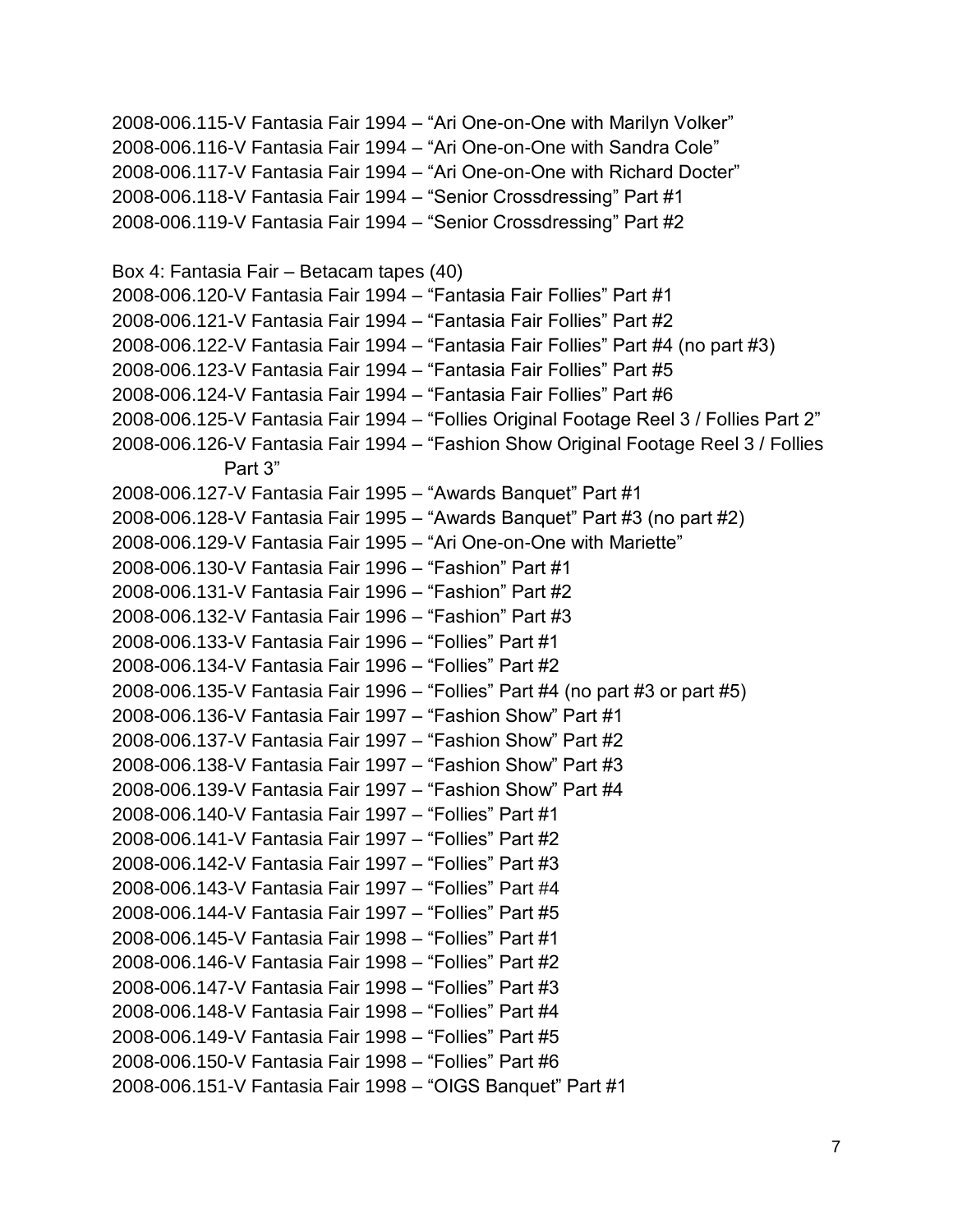2008-006.115-V Fantasia Fair 1994 – "Ari One-on-One with Marilyn Volker" 2008-006.116-V Fantasia Fair 1994 – "Ari One-on-One with Sandra Cole" 2008-006.117-V Fantasia Fair 1994 – "Ari One-on-One with Richard Docter" 2008-006.118-V Fantasia Fair 1994 – "Senior Crossdressing" Part #1 2008-006.119-V Fantasia Fair 1994 – "Senior Crossdressing" Part #2 Box 4: Fantasia Fair – Betacam tapes (40) 2008-006.120-V Fantasia Fair 1994 – "Fantasia Fair Follies" Part #1 2008-006.121-V Fantasia Fair 1994 – "Fantasia Fair Follies" Part #2 2008-006.122-V Fantasia Fair 1994 – "Fantasia Fair Follies" Part #4 (no part #3) 2008-006.123-V Fantasia Fair 1994 – "Fantasia Fair Follies" Part #5 2008-006.124-V Fantasia Fair 1994 – "Fantasia Fair Follies" Part #6 2008-006.125-V Fantasia Fair 1994 – "Follies Original Footage Reel 3 / Follies Part 2" 2008-006.126-V Fantasia Fair 1994 – "Fashion Show Original Footage Reel 3 / Follies Part 3" 2008-006.127-V Fantasia Fair 1995 – "Awards Banquet" Part #1 2008-006.128-V Fantasia Fair 1995 – "Awards Banquet" Part #3 (no part #2) 2008-006.129-V Fantasia Fair 1995 – "Ari One-on-One with Mariette" 2008-006.130-V Fantasia Fair 1996 – "Fashion" Part #1 2008-006.131-V Fantasia Fair 1996 – "Fashion" Part #2 2008-006.132-V Fantasia Fair 1996 – "Fashion" Part #3 2008-006.133-V Fantasia Fair 1996 – "Follies" Part #1 2008-006.134-V Fantasia Fair 1996 – "Follies" Part #2 2008-006.135-V Fantasia Fair 1996 – "Follies" Part #4 (no part #3 or part #5) 2008-006.136-V Fantasia Fair 1997 – "Fashion Show" Part #1 2008-006.137-V Fantasia Fair 1997 – "Fashion Show" Part #2 2008-006.138-V Fantasia Fair 1997 – "Fashion Show" Part #3 2008-006.139-V Fantasia Fair 1997 – "Fashion Show" Part #4 2008-006.140-V Fantasia Fair 1997 – "Follies" Part #1 2008-006.141-V Fantasia Fair 1997 – "Follies" Part #2 2008-006.142-V Fantasia Fair 1997 – "Follies" Part #3 2008-006.143-V Fantasia Fair 1997 – "Follies" Part #4 2008-006.144-V Fantasia Fair 1997 – "Follies" Part #5 2008-006.145-V Fantasia Fair 1998 – "Follies" Part #1 2008-006.146-V Fantasia Fair 1998 – "Follies" Part #2 2008-006.147-V Fantasia Fair 1998 – "Follies" Part #3 2008-006.148-V Fantasia Fair 1998 – "Follies" Part #4 2008-006.149-V Fantasia Fair 1998 – "Follies" Part #5 2008-006.150-V Fantasia Fair 1998 – "Follies" Part #6 2008-006.151-V Fantasia Fair 1998 – "OIGS Banquet" Part #1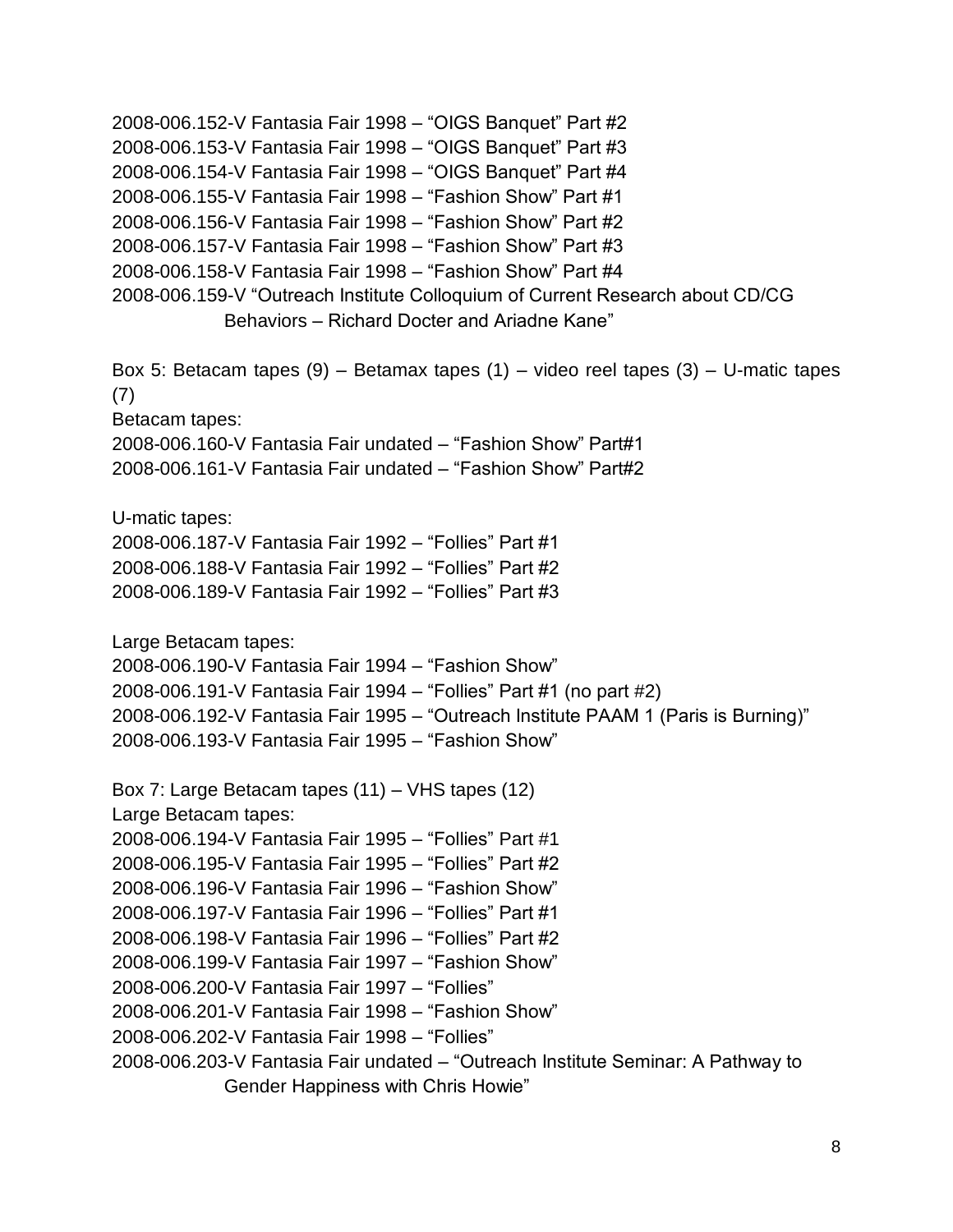2008-006.152-V Fantasia Fair 1998 – "OIGS Banquet" Part #2 2008-006.153-V Fantasia Fair 1998 – "OIGS Banquet" Part #3 2008-006.154-V Fantasia Fair 1998 – "OIGS Banquet" Part #4 2008-006.155-V Fantasia Fair 1998 – "Fashion Show" Part #1 2008-006.156-V Fantasia Fair 1998 – "Fashion Show" Part #2 2008-006.157-V Fantasia Fair 1998 – "Fashion Show" Part #3 2008-006.158-V Fantasia Fair 1998 – "Fashion Show" Part #4 2008-006.159-V "Outreach Institute Colloquium of Current Research about CD/CG Behaviors – Richard Docter and Ariadne Kane" Box 5: Betacam tapes (9) – Betamax tapes (1) – video reel tapes (3) – U-matic tapes (7) Betacam tapes: 2008-006.160-V Fantasia Fair undated – "Fashion Show" Part#1 2008-006.161-V Fantasia Fair undated – "Fashion Show" Part#2 U-matic tapes: 2008-006.187-V Fantasia Fair 1992 – "Follies" Part #1 2008-006.188-V Fantasia Fair 1992 – "Follies" Part #2 2008-006.189-V Fantasia Fair 1992 – "Follies" Part #3 Large Betacam tapes: 2008-006.190-V Fantasia Fair 1994 – "Fashion Show" 2008-006.191-V Fantasia Fair 1994 – "Follies" Part #1 (no part #2) 2008-006.192-V Fantasia Fair 1995 – "Outreach Institute PAAM 1 (Paris is Burning)" 2008-006.193-V Fantasia Fair 1995 – "Fashion Show" Box 7: Large Betacam tapes (11) – VHS tapes (12) Large Betacam tapes: 2008-006.194-V Fantasia Fair 1995 – "Follies" Part #1 2008-006.195-V Fantasia Fair 1995 – "Follies" Part #2 2008-006.196-V Fantasia Fair 1996 – "Fashion Show" 2008-006.197-V Fantasia Fair 1996 – "Follies" Part #1 2008-006.198-V Fantasia Fair 1996 – "Follies" Part #2 2008-006.199-V Fantasia Fair 1997 – "Fashion Show" 2008-006.200-V Fantasia Fair 1997 – "Follies" 2008-006.201-V Fantasia Fair 1998 – "Fashion Show" 2008-006.202-V Fantasia Fair 1998 – "Follies" 2008-006.203-V Fantasia Fair undated – "Outreach Institute Seminar: A Pathway to Gender Happiness with Chris Howie"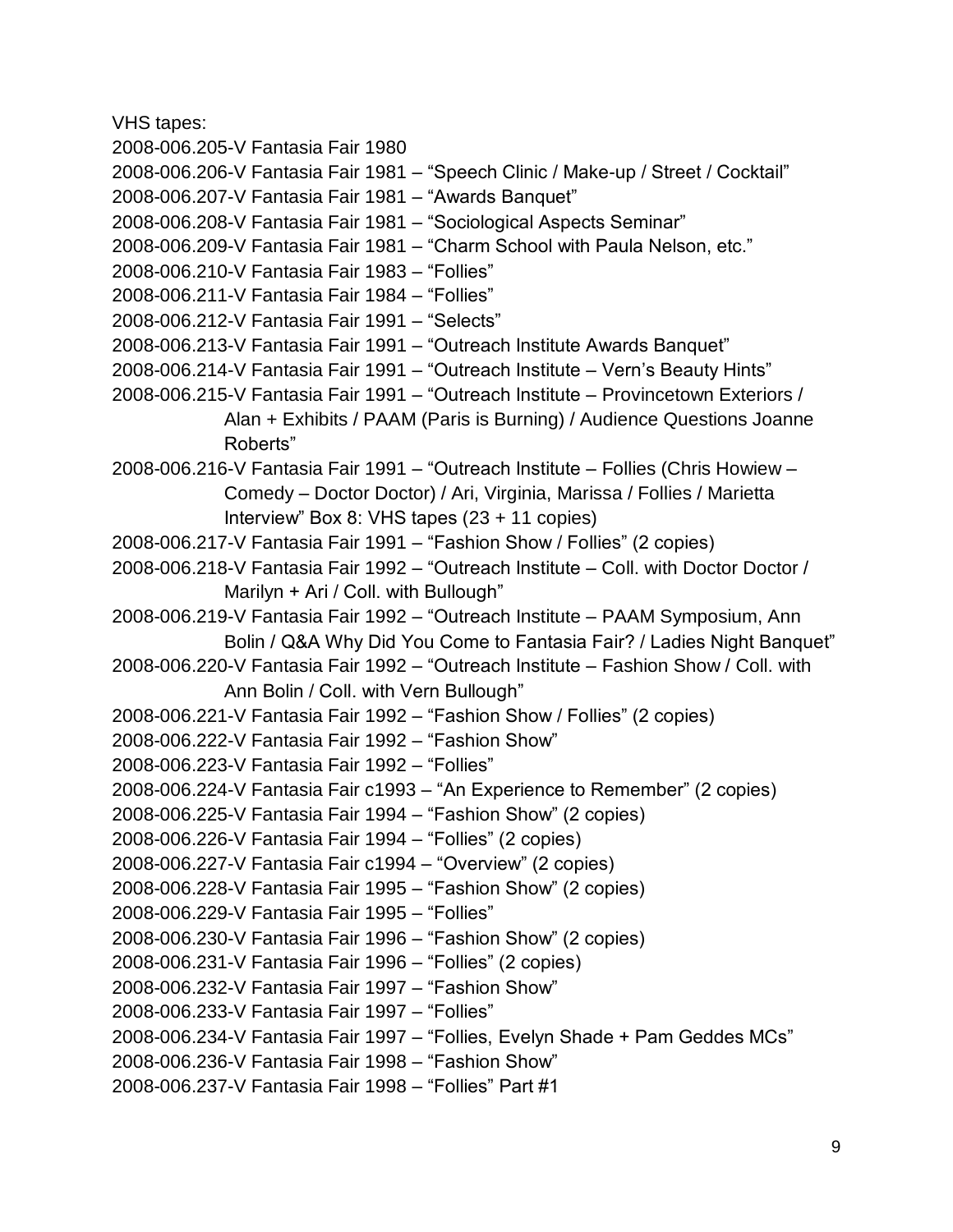VHS tapes:

2008-006.205-V Fantasia Fair 1980

- 2008-006.206-V Fantasia Fair 1981 "Speech Clinic / Make-up / Street / Cocktail"
- 2008-006.207-V Fantasia Fair 1981 "Awards Banquet"
- 2008-006.208-V Fantasia Fair 1981 "Sociological Aspects Seminar"
- 2008-006.209-V Fantasia Fair 1981 "Charm School with Paula Nelson, etc."
- 2008-006.210-V Fantasia Fair 1983 "Follies"
- 2008-006.211-V Fantasia Fair 1984 "Follies"
- 2008-006.212-V Fantasia Fair 1991 "Selects"
- 2008-006.213-V Fantasia Fair 1991 "Outreach Institute Awards Banquet"
- 2008-006.214-V Fantasia Fair 1991 "Outreach Institute Vern's Beauty Hints"
- 2008-006.215-V Fantasia Fair 1991 "Outreach Institute Provincetown Exteriors / Alan + Exhibits / PAAM (Paris is Burning) / Audience Questions Joanne Roberts"
- 2008-006.216-V Fantasia Fair 1991 "Outreach Institute Follies (Chris Howiew Comedy – Doctor Doctor) / Ari, Virginia, Marissa / Follies / Marietta Interview" Box 8: VHS tapes (23 + 11 copies)
- 2008-006.217-V Fantasia Fair 1991 "Fashion Show / Follies" (2 copies)
- 2008-006.218-V Fantasia Fair 1992 "Outreach Institute Coll. with Doctor Doctor / Marilyn + Ari / Coll. with Bullough"
- 2008-006.219-V Fantasia Fair 1992 "Outreach Institute PAAM Symposium, Ann Bolin / Q&A Why Did You Come to Fantasia Fair? / Ladies Night Banquet"
- 2008-006.220-V Fantasia Fair 1992 "Outreach Institute Fashion Show / Coll. with Ann Bolin / Coll. with Vern Bullough"
- 2008-006.221-V Fantasia Fair 1992 "Fashion Show / Follies" (2 copies)
- 2008-006.222-V Fantasia Fair 1992 "Fashion Show"
- 2008-006.223-V Fantasia Fair 1992 "Follies"
- 2008-006.224-V Fantasia Fair c1993 "An Experience to Remember" (2 copies)
- 2008-006.225-V Fantasia Fair 1994 "Fashion Show" (2 copies)
- 2008-006.226-V Fantasia Fair 1994 "Follies" (2 copies)
- 2008-006.227-V Fantasia Fair c1994 "Overview" (2 copies)
- 2008-006.228-V Fantasia Fair 1995 "Fashion Show" (2 copies)
- 2008-006.229-V Fantasia Fair 1995 "Follies"
- 2008-006.230-V Fantasia Fair 1996 "Fashion Show" (2 copies)
- 2008-006.231-V Fantasia Fair 1996 "Follies" (2 copies)
- 2008-006.232-V Fantasia Fair 1997 "Fashion Show"
- 2008-006.233-V Fantasia Fair 1997 "Follies"
- 2008-006.234-V Fantasia Fair 1997 "Follies, Evelyn Shade + Pam Geddes MCs"
- 2008-006.236-V Fantasia Fair 1998 "Fashion Show"
- 2008-006.237-V Fantasia Fair 1998 "Follies" Part #1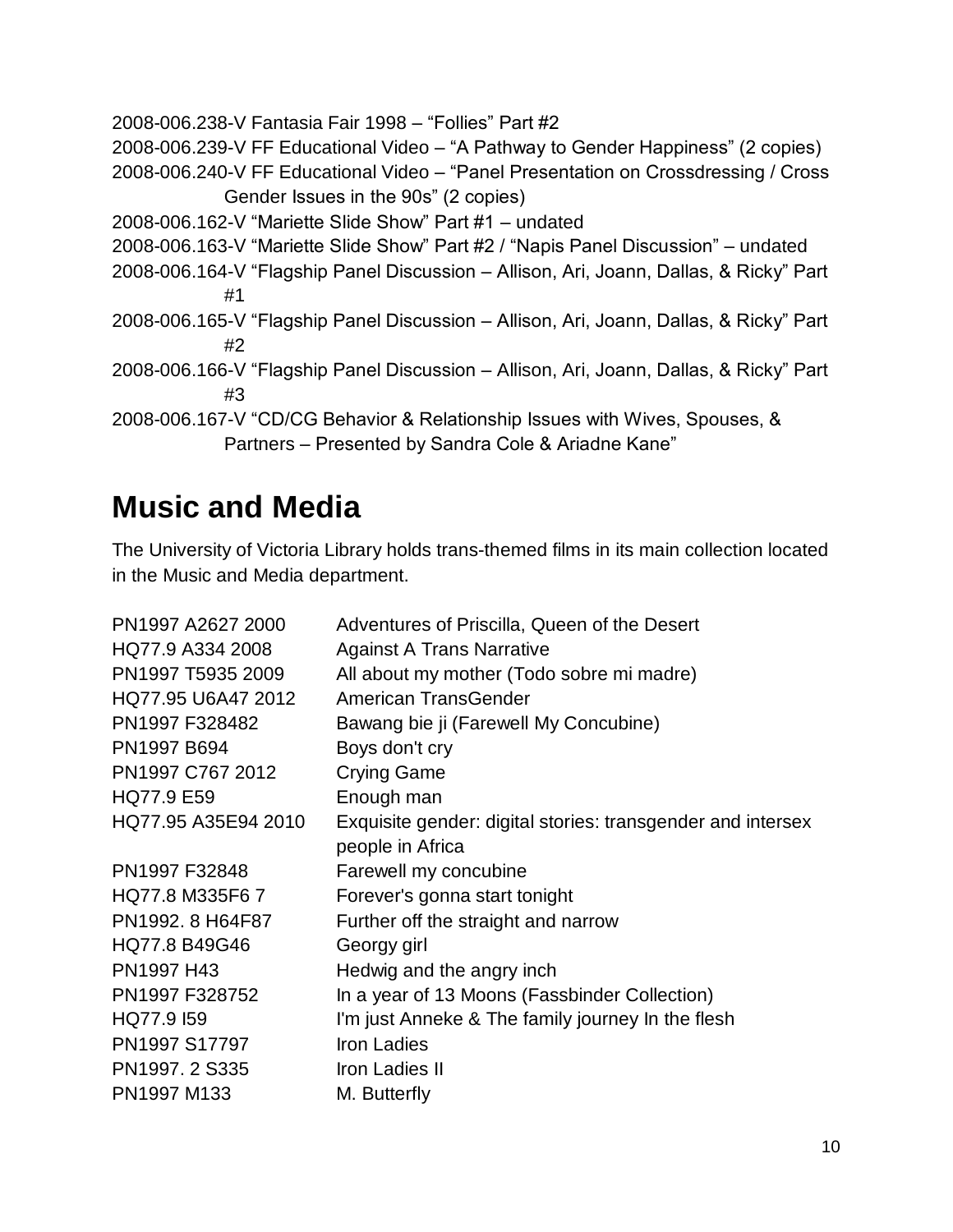```
2008-006.238-V Fantasia Fair 1998 – "Follies" Part #2
2008-006.239-V FF Educational Video – "A Pathway to Gender Happiness" (2 copies)
2008-006.240-V FF Educational Video – "Panel Presentation on Crossdressing / Cross 
             Gender Issues in the 90s" (2 copies)
2008-006.162-V "Mariette Slide Show" Part #1 – undated
2008-006.163-V "Mariette Slide Show" Part #2 / "Napis Panel Discussion" – undated
2008-006.164-V "Flagship Panel Discussion – Allison, Ari, Joann, Dallas, & Ricky" Part 
             #1
2008-006.165-V "Flagship Panel Discussion – Allison, Ari, Joann, Dallas, & Ricky" Part 
             #2
2008-006.166-V "Flagship Panel Discussion – Allison, Ari, Joann, Dallas, & Ricky" Part 
             #3
2008-006.167-V "CD/CG Behavior & Relationship Issues with Wives, Spouses, & 
             Partners – Presented by Sandra Cole & Ariadne Kane"
```
## <span id="page-9-0"></span>**Music and Media**

The University of Victoria Library holds trans-themed films in its main collection located in the Music and Media department.

| PN1997 A2627 2000   | Adventures of Priscilla, Queen of the Desert                |
|---------------------|-------------------------------------------------------------|
| HQ77.9 A334 2008    | <b>Against A Trans Narrative</b>                            |
| PN1997 T5935 2009   | All about my mother (Todo sobre mi madre)                   |
| HQ77.95 U6A47 2012  | American TransGender                                        |
| PN1997 F328482      | Bawang bie ji (Farewell My Concubine)                       |
| PN1997 B694         | Boys don't cry                                              |
| PN1997 C767 2012    | <b>Crying Game</b>                                          |
| HQ77.9 E59          | Enough man                                                  |
| HQ77.95 A35E94 2010 | Exquisite gender: digital stories: transgender and intersex |
|                     | people in Africa                                            |
| PN1997 F32848       | Farewell my concubine                                       |
| HQ77.8 M335F6 7     | Forever's gonna start tonight                               |
| PN1992. 8 H64F87    | Further off the straight and narrow                         |
| HQ77.8 B49G46       | Georgy girl                                                 |
| PN1997 H43          | Hedwig and the angry inch                                   |
| PN1997 F328752      | In a year of 13 Moons (Fassbinder Collection)               |
| HQ77.9 I59          | I'm just Anneke & The family journey In the flesh           |
| PN1997 S17797       | <b>Iron Ladies</b>                                          |
| PN1997. 2 S335      | Iron Ladies II                                              |
| PN1997 M133         | M. Butterfly                                                |
|                     |                                                             |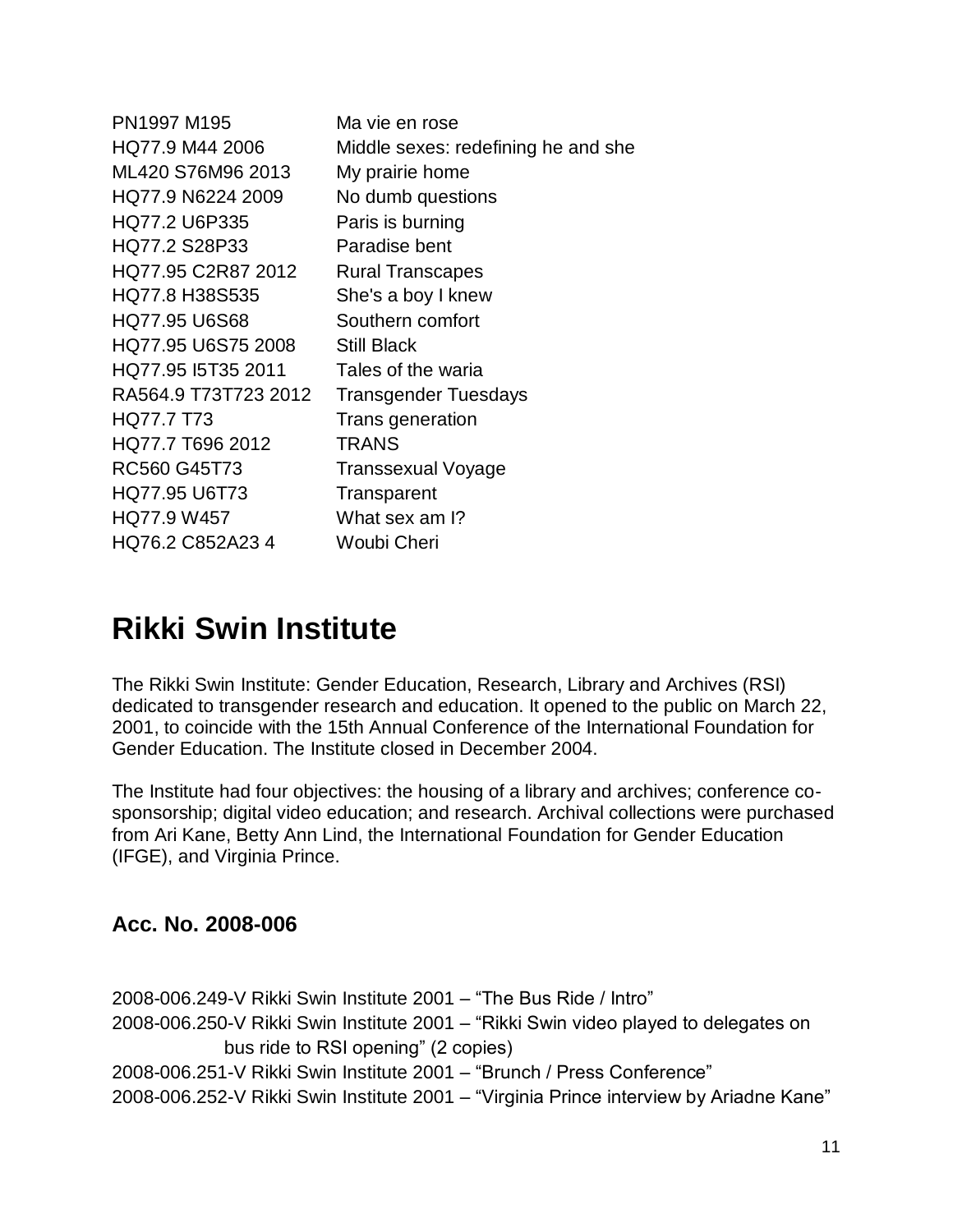PN1997 M195 Ma vie en rose HQ77.9 M44 2006 Middle sexes: redefining he and she ML420 S76M96 2013 My prairie home HQ77.9 N6224 2009 No dumb questions HQ77.2 U6P335 Paris is burning HQ77.2 S28P33 Paradise bent HQ77.95 C2R87 2012 Rural Transcapes HQ77.8 H38S535 She's a boy I knew HQ77.95 U6S68 Southern comfort HQ77.95 U6S75 2008 Still Black HQ77.95 I5T35 2011 Tales of the waria RA564.9 T73T723 2012 Transgender Tuesdays HQ77.7 T73 Trans generation HQ77.7 T696 2012 TRANS RC560 G45T73 Transsexual Voyage HQ77.95 U6T73 Transparent HQ77.9 W457 What sex am I? HQ76.2 C852A23 4 Woubi Cheri

## <span id="page-10-0"></span>**Rikki Swin Institute**

The Rikki Swin Institute: Gender Education, Research, Library and Archives (RSI) dedicated to transgender research and education. It opened to the public on March 22, 2001, to coincide with the 15th Annual Conference of the International Foundation for Gender Education. The Institute closed in December 2004.

The Institute had four objectives: the housing of a library and archives; conference cosponsorship; digital video education; and research. Archival collections were purchased from Ari Kane, Betty Ann Lind, the International Foundation for Gender Education (IFGE), and Virginia Prince.

#### **Acc. No. 2008-006**

2008-006.249-V Rikki Swin Institute 2001 – "The Bus Ride / Intro" 2008-006.250-V Rikki Swin Institute 2001 – "Rikki Swin video played to delegates on bus ride to RSI opening" (2 copies) 2008-006.251-V Rikki Swin Institute 2001 – "Brunch / Press Conference" 2008-006.252-V Rikki Swin Institute 2001 – "Virginia Prince interview by Ariadne Kane"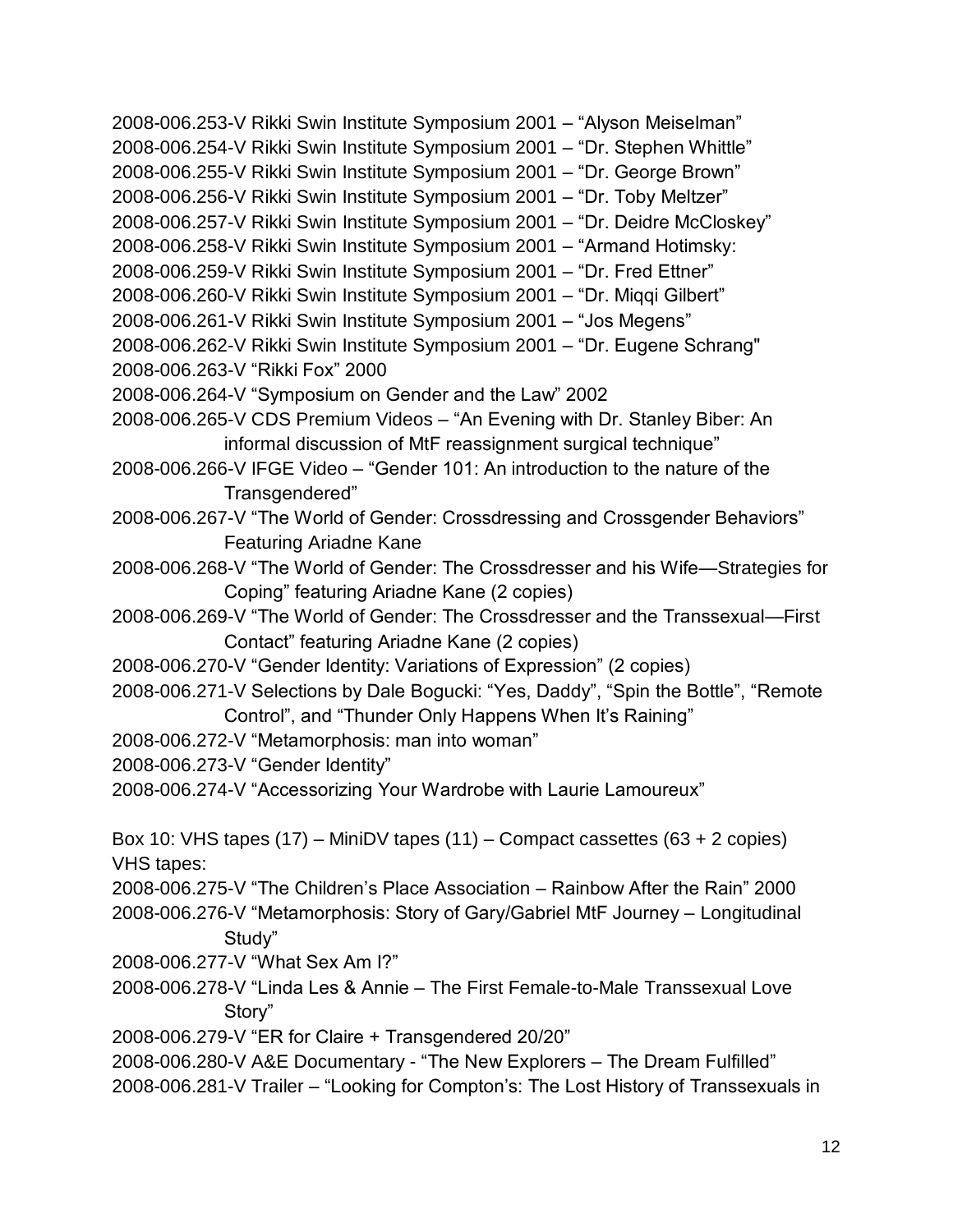2008-006.253-V Rikki Swin Institute Symposium 2001 – "Alyson Meiselman" 2008-006.254-V Rikki Swin Institute Symposium 2001 – "Dr. Stephen Whittle" 2008-006.255-V Rikki Swin Institute Symposium 2001 – "Dr. George Brown" 2008-006.256-V Rikki Swin Institute Symposium 2001 – "Dr. Toby Meltzer" 2008-006.257-V Rikki Swin Institute Symposium 2001 – "Dr. Deidre McCloskey" 2008-006.258-V Rikki Swin Institute Symposium 2001 – "Armand Hotimsky: 2008-006.259-V Rikki Swin Institute Symposium 2001 – "Dr. Fred Ettner" 2008-006.260-V Rikki Swin Institute Symposium 2001 – "Dr. Miqqi Gilbert" 2008-006.261-V Rikki Swin Institute Symposium 2001 – "Jos Megens" 2008-006.262-V Rikki Swin Institute Symposium 2001 – "Dr. Eugene Schrang" 2008-006.263-V "Rikki Fox" 2000 2008-006.264-V "Symposium on Gender and the Law" 2002 2008-006.265-V CDS Premium Videos – "An Evening with Dr. Stanley Biber: An informal discussion of MtF reassignment surgical technique" 2008-006.266-V IFGE Video – "Gender 101: An introduction to the nature of the Transgendered" 2008-006.267-V "The World of Gender: Crossdressing and Crossgender Behaviors" Featuring Ariadne Kane 2008-006.268-V "The World of Gender: The Crossdresser and his Wife—Strategies for Coping" featuring Ariadne Kane (2 copies) 2008-006.269-V "The World of Gender: The Crossdresser and the Transsexual—First Contact" featuring Ariadne Kane (2 copies) 2008-006.270-V "Gender Identity: Variations of Expression" (2 copies)

- 2008-006.271-V Selections by Dale Bogucki: "Yes, Daddy", "Spin the Bottle", "Remote Control", and "Thunder Only Happens When It's Raining"
- 2008-006.272-V "Metamorphosis: man into woman"
- 2008-006.273-V "Gender Identity"

2008-006.274-V "Accessorizing Your Wardrobe with Laurie Lamoureux"

Box 10: VHS tapes (17) – MiniDV tapes (11) – Compact cassettes (63 + 2 copies) VHS tapes:

2008-006.275-V "The Children's Place Association – Rainbow After the Rain" 2000 2008-006.276-V "Metamorphosis: Story of Gary/Gabriel MtF Journey – Longitudinal

Study" 2008-006.277-V "What Sex Am I?"

2008-006.278-V "Linda Les & Annie – The First Female-to-Male Transsexual Love Story"

2008-006.279-V "ER for Claire + Transgendered 20/20"

2008-006.280-V A&E Documentary - "The New Explorers – The Dream Fulfilled"

2008-006.281-V Trailer – "Looking for Compton's: The Lost History of Transsexuals in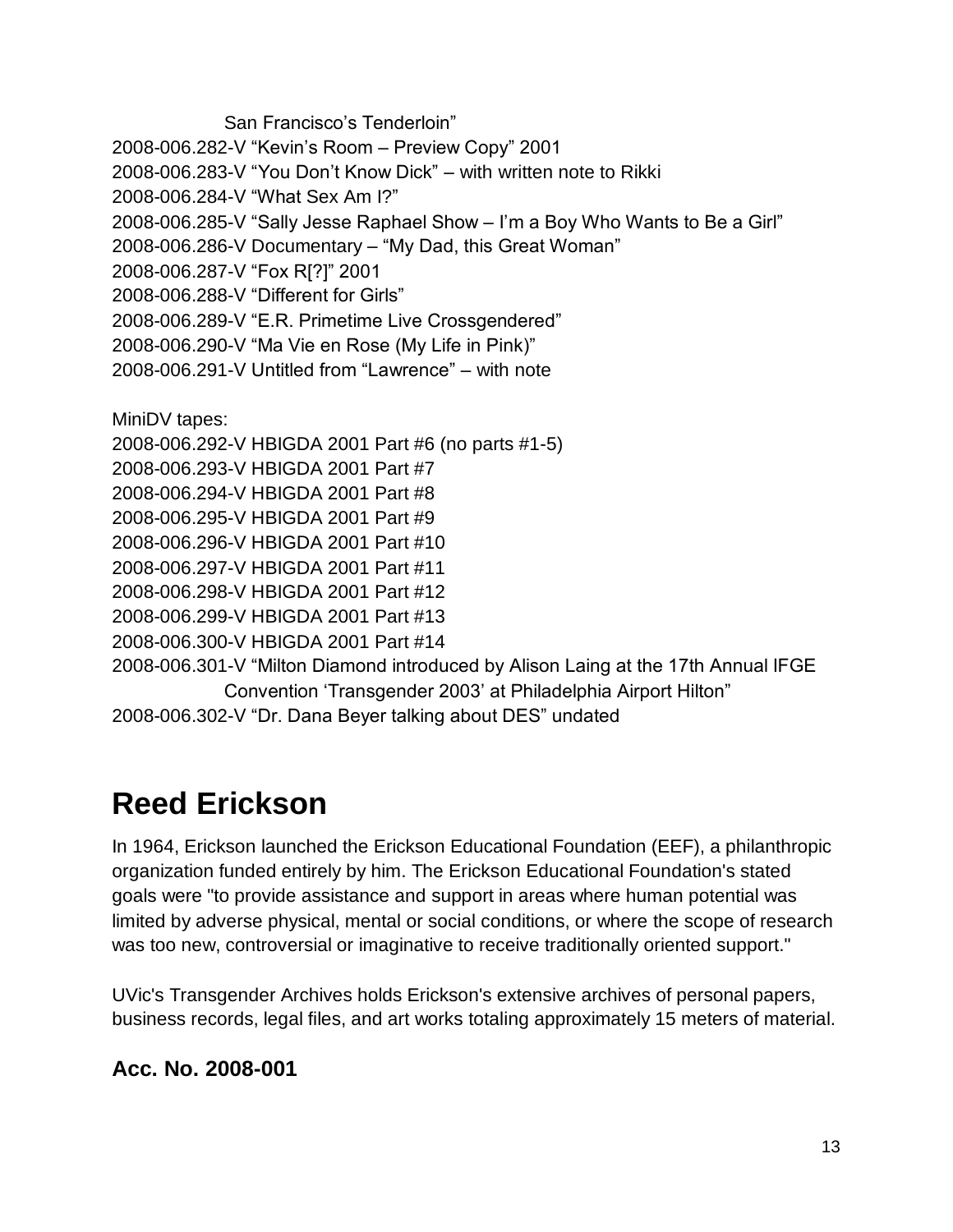San Francisco's Tenderloin" 2008-006.282-V "Kevin's Room – Preview Copy" 2001 2008-006.283-V "You Don't Know Dick" – with written note to Rikki 2008-006.284-V "What Sex Am I?" 2008-006.285-V "Sally Jesse Raphael Show – I'm a Boy Who Wants to Be a Girl" 2008-006.286-V Documentary – "My Dad, this Great Woman" 2008-006.287-V "Fox R[?]" 2001 2008-006.288-V "Different for Girls" 2008-006.289-V "E.R. Primetime Live Crossgendered" 2008-006.290-V "Ma Vie en Rose (My Life in Pink)" 2008-006.291-V Untitled from "Lawrence" – with note MiniDV tapes: 2008-006.292-V HBIGDA 2001 Part #6 (no parts #1-5) 2008-006.293-V HBIGDA 2001 Part #7 2008-006.294-V HBIGDA 2001 Part #8 2008-006.295-V HBIGDA 2001 Part #9 2008-006.296-V HBIGDA 2001 Part #10 2008-006.297-V HBIGDA 2001 Part #11 2008-006.298-V HBIGDA 2001 Part #12 2008-006.299-V HBIGDA 2001 Part #13 2008-006.300-V HBIGDA 2001 Part #14 2008-006.301-V "Milton Diamond introduced by Alison Laing at the 17th Annual IFGE Convention 'Transgender 2003' at Philadelphia Airport Hilton" 2008-006.302-V "Dr. Dana Beyer talking about DES" undated

## <span id="page-12-0"></span>**Reed Erickson**

In 1964, Erickson launched the Erickson Educational Foundation (EEF), a philanthropic organization funded entirely by him. The Erickson Educational Foundation's stated goals were "to provide assistance and support in areas where human potential was limited by adverse physical, mental or social conditions, or where the scope of research was too new, controversial or imaginative to receive traditionally oriented support."

UVic's Transgender Archives holds Erickson's extensive archives of personal papers, business records, legal files, and art works totaling approximately 15 meters of material.

### **Acc. No. 2008-001**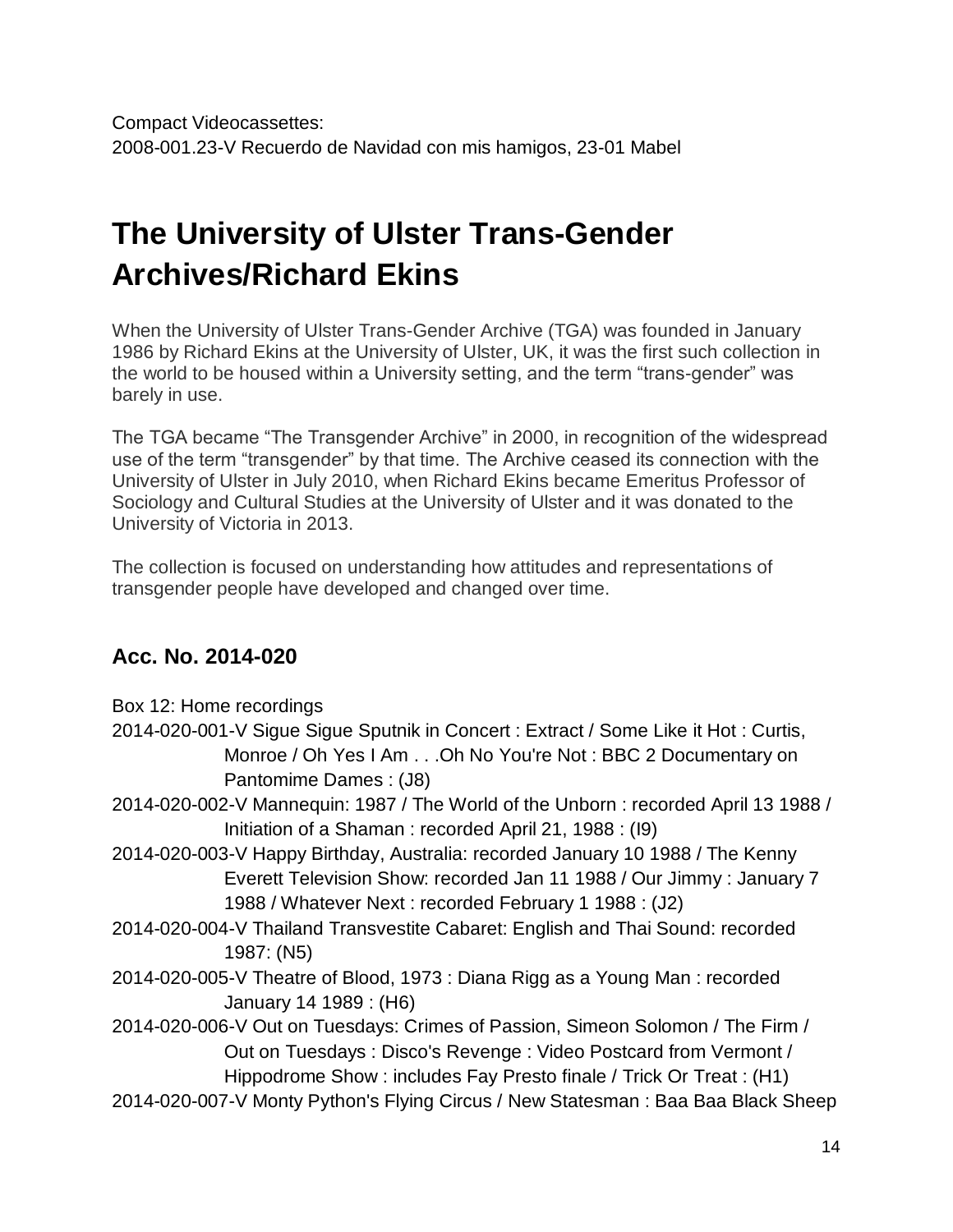# <span id="page-13-0"></span>**The University of Ulster Trans-Gender Archives/Richard Ekins**

When the University of Ulster Trans-Gender Archive (TGA) was founded in January 1986 by Richard Ekins at the University of Ulster, UK, it was the first such collection in the world to be housed within a University setting, and the term "trans-gender" was barely in use.

The TGA became "The Transgender Archive" in 2000, in recognition of the widespread use of the term "transgender" by that time. The Archive ceased its connection with the University of Ulster in July 2010, when Richard Ekins became Emeritus Professor of Sociology and Cultural Studies at the University of Ulster and it was donated to the University of Victoria in 2013.

The collection is focused on understanding how attitudes and representations of transgender people have developed and changed over time.

### **Acc. No. 2014-020**

| Box 12: Home recordings                                                            |
|------------------------------------------------------------------------------------|
| 2014-020-001-V Sigue Sigue Sputnik in Concert: Extract / Some Like it Hot: Curtis, |
| Monroe / Oh Yes I Am Oh No You're Not: BBC 2 Documentary on                        |
| Pantomime Dames: (J8)                                                              |
| 2014-020-002-V Mannequin: 1987 / The World of the Unborn: recorded April 13 1988 / |
| Initiation of a Shaman: recorded April 21, 1988: (I9)                              |
| 2014-020-003-V Happy Birthday, Australia: recorded January 10 1988 / The Kenny     |
| Everett Television Show: recorded Jan 11 1988 / Our Jimmy: January 7               |
| 1988 / Whatever Next: recorded February 1 1988 : (J2)                              |
| 2014-020-004-V Thailand Transvestite Cabaret: English and Thai Sound: recorded     |
| 1987: (N5)                                                                         |
| 2014-020-005-V Theatre of Blood, 1973 : Diana Rigg as a Young Man : recorded       |
| January 14 1989 : (H6)                                                             |
| 2014-020-006-V Out on Tuesdays: Crimes of Passion, Simeon Solomon / The Firm /     |
| Out on Tuesdays: Disco's Revenge: Video Postcard from Vermont /                    |
| Hippodrome Show: includes Fay Presto finale / Trick Or Treat: (H1)                 |
| 2014-020-007-V Monty Python's Flying Circus / New Statesman: Baa Baa Black Sheep   |
|                                                                                    |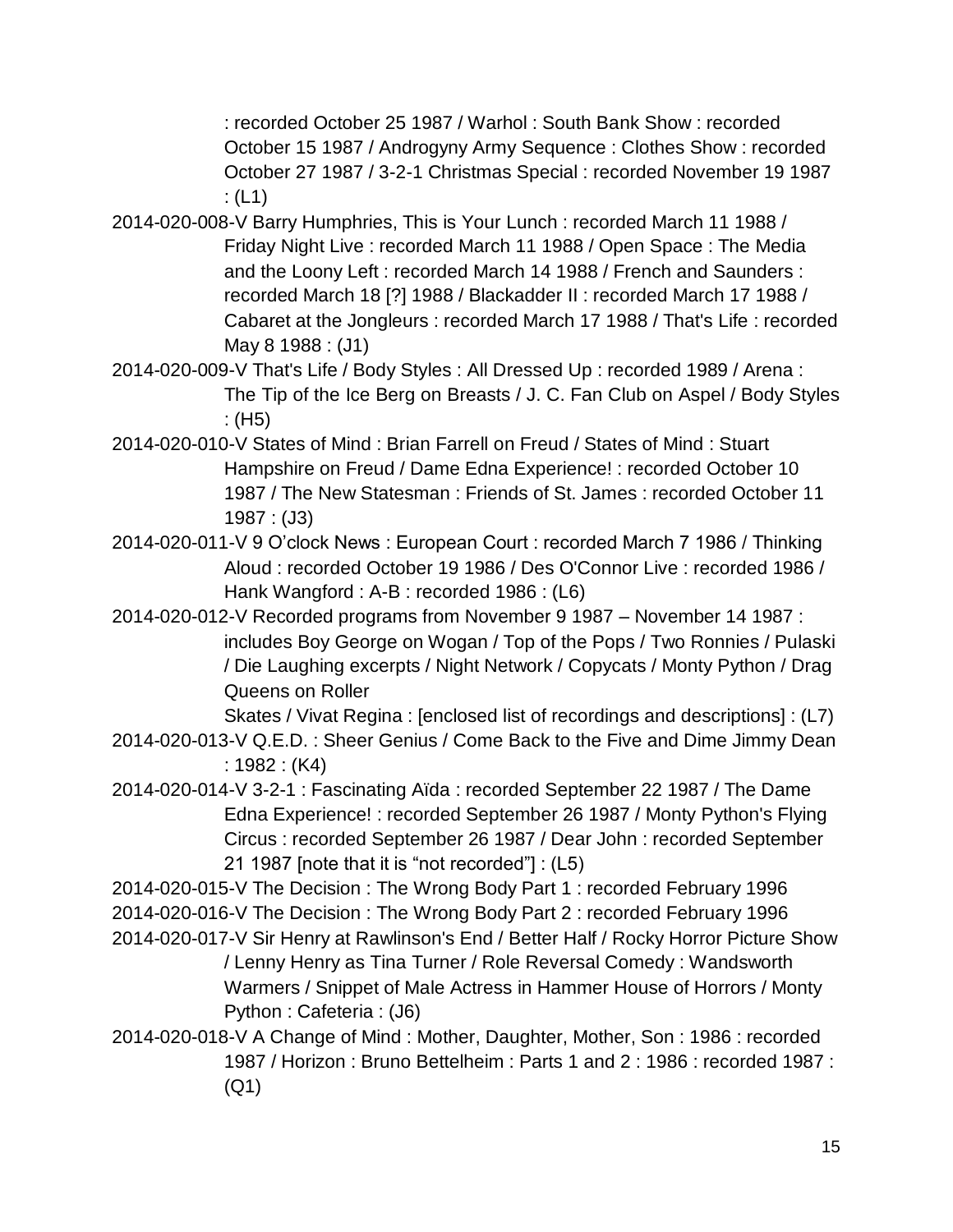: recorded October 25 1987 / Warhol : South Bank Show : recorded October 15 1987 / Androgyny Army Sequence : Clothes Show : recorded October 27 1987 / 3-2-1 Christmas Special : recorded November 19 1987 :  $(L1)$ 

- 2014-020-008-V Barry Humphries, This is Your Lunch : recorded March 11 1988 / Friday Night Live : recorded March 11 1988 / Open Space : The Media and the Loony Left : recorded March 14 1988 / French and Saunders : recorded March 18 [?] 1988 / Blackadder II : recorded March 17 1988 / Cabaret at the Jongleurs : recorded March 17 1988 / That's Life : recorded May 8 1988 : (J1)
- 2014-020-009-V That's Life / Body Styles : All Dressed Up : recorded 1989 / Arena : The Tip of the Ice Berg on Breasts / J. C. Fan Club on Aspel / Body Styles : (H5)
- 2014-020-010-V States of Mind : Brian Farrell on Freud / States of Mind : Stuart Hampshire on Freud / Dame Edna Experience! : recorded October 10 1987 / The New Statesman : Friends of St. James : recorded October 11 1987 : (J3)
- 2014-020-011-V 9 O'clock News : European Court : recorded March 7 1986 / Thinking Aloud : recorded October 19 1986 / Des O'Connor Live : recorded 1986 / Hank Wangford : A-B : recorded 1986 : (L6)
- 2014-020-012-V Recorded programs from November 9 1987 November 14 1987 : includes Boy George on Wogan / Top of the Pops / Two Ronnies / Pulaski / Die Laughing excerpts / Night Network / Copycats / Monty Python / Drag Queens on Roller

Skates / Vivat Regina : [enclosed list of recordings and descriptions] : (L7)

- 2014-020-013-V Q.E.D. : Sheer Genius / Come Back to the Five and Dime Jimmy Dean : 1982 : (K4)
- 2014-020-014-V 3-2-1 : Fascinating Aïda : recorded September 22 1987 / The Dame Edna Experience! : recorded September 26 1987 / Monty Python's Flying Circus : recorded September 26 1987 / Dear John : recorded September 21 1987 [note that it is "not recorded"] : (L5)
- 2014-020-015-V The Decision : The Wrong Body Part 1 : recorded February 1996 2014-020-016-V The Decision : The Wrong Body Part 2 : recorded February 1996
- 2014-020-017-V Sir Henry at Rawlinson's End / Better Half / Rocky Horror Picture Show / Lenny Henry as Tina Turner / Role Reversal Comedy : Wandsworth Warmers / Snippet of Male Actress in Hammer House of Horrors / Monty Python : Cafeteria : (J6)
- 2014-020-018-V A Change of Mind : Mother, Daughter, Mother, Son : 1986 : recorded 1987 / Horizon : Bruno Bettelheim : Parts 1 and 2 : 1986 : recorded 1987 : (Q1)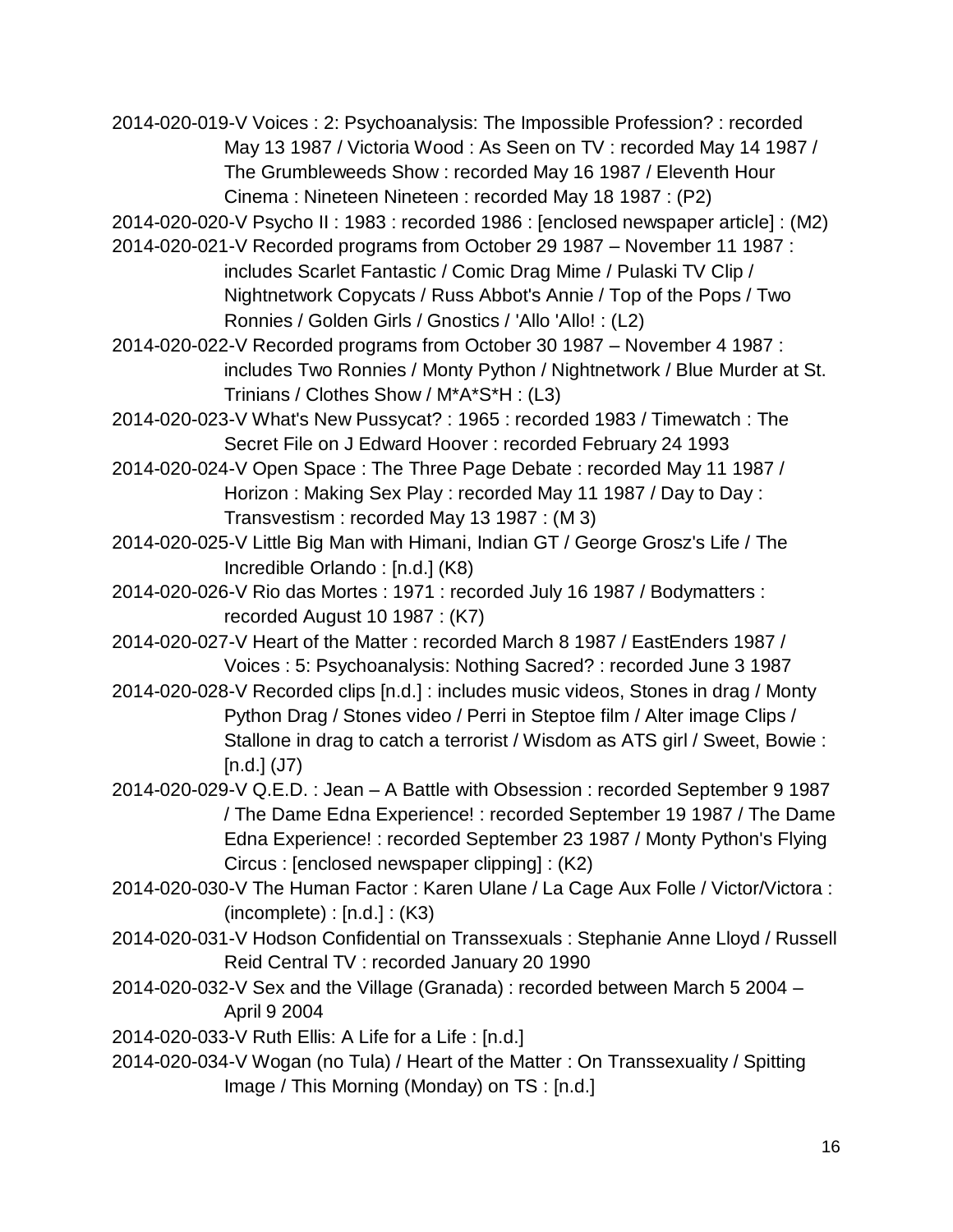2014-020-019-V Voices : 2: Psychoanalysis: The Impossible Profession? : recorded May 13 1987 / Victoria Wood : As Seen on TV : recorded May 14 1987 / The Grumbleweeds Show : recorded May 16 1987 / Eleventh Hour Cinema : Nineteen Nineteen : recorded May 18 1987 : (P2)

2014-020-020-V Psycho II : 1983 : recorded 1986 : [enclosed newspaper article] : (M2)

2014-020-021-V Recorded programs from October 29 1987 – November 11 1987 : includes Scarlet Fantastic / Comic Drag Mime / Pulaski TV Clip / Nightnetwork Copycats / Russ Abbot's Annie / Top of the Pops / Two Ronnies / Golden Girls / Gnostics / 'Allo 'Allo! : (L2)

2014-020-022-V Recorded programs from October 30 1987 – November 4 1987 : includes Two Ronnies / Monty Python / Nightnetwork / Blue Murder at St. Trinians / Clothes Show / M\*A\*S\*H : (L3)

2014-020-023-V What's New Pussycat? : 1965 : recorded 1983 / Timewatch : The Secret File on J Edward Hoover : recorded February 24 1993

2014-020-024-V Open Space : The Three Page Debate : recorded May 11 1987 / Horizon : Making Sex Play : recorded May 11 1987 / Day to Day : Transvestism : recorded May 13 1987 : (M 3)

2014-020-025-V Little Big Man with Himani, Indian GT / George Grosz's Life / The Incredible Orlando : [n.d.] (K8)

2014-020-026-V Rio das Mortes : 1971 : recorded July 16 1987 / Bodymatters : recorded August 10 1987 : (K7)

2014-020-027-V Heart of the Matter : recorded March 8 1987 / EastEnders 1987 / Voices : 5: Psychoanalysis: Nothing Sacred? : recorded June 3 1987

2014-020-028-V Recorded clips [n.d.] : includes music videos, Stones in drag / Monty Python Drag / Stones video / Perri in Steptoe film / Alter image Clips / Stallone in drag to catch a terrorist / Wisdom as ATS girl / Sweet, Bowie :  $[n.d.]$  (J7)

2014-020-029-V Q.E.D. : Jean – A Battle with Obsession : recorded September 9 1987 / The Dame Edna Experience! : recorded September 19 1987 / The Dame Edna Experience! : recorded September 23 1987 / Monty Python's Flying Circus : [enclosed newspaper clipping] : (K2)

2014-020-030-V The Human Factor : Karen Ulane / La Cage Aux Folle / Victor/Victora :  $(incomplete) : [n.d.] : (K3)$ 

2014-020-031-V Hodson Confidential on Transsexuals : Stephanie Anne Lloyd / Russell Reid Central TV : recorded January 20 1990

- 2014-020-032-V Sex and the Village (Granada) : recorded between March 5 2004 April 9 2004
- 2014-020-033-V Ruth Ellis: A Life for a Life : [n.d.]
- 2014-020-034-V Wogan (no Tula) / Heart of the Matter : On Transsexuality / Spitting Image / This Morning (Monday) on TS : [n.d.]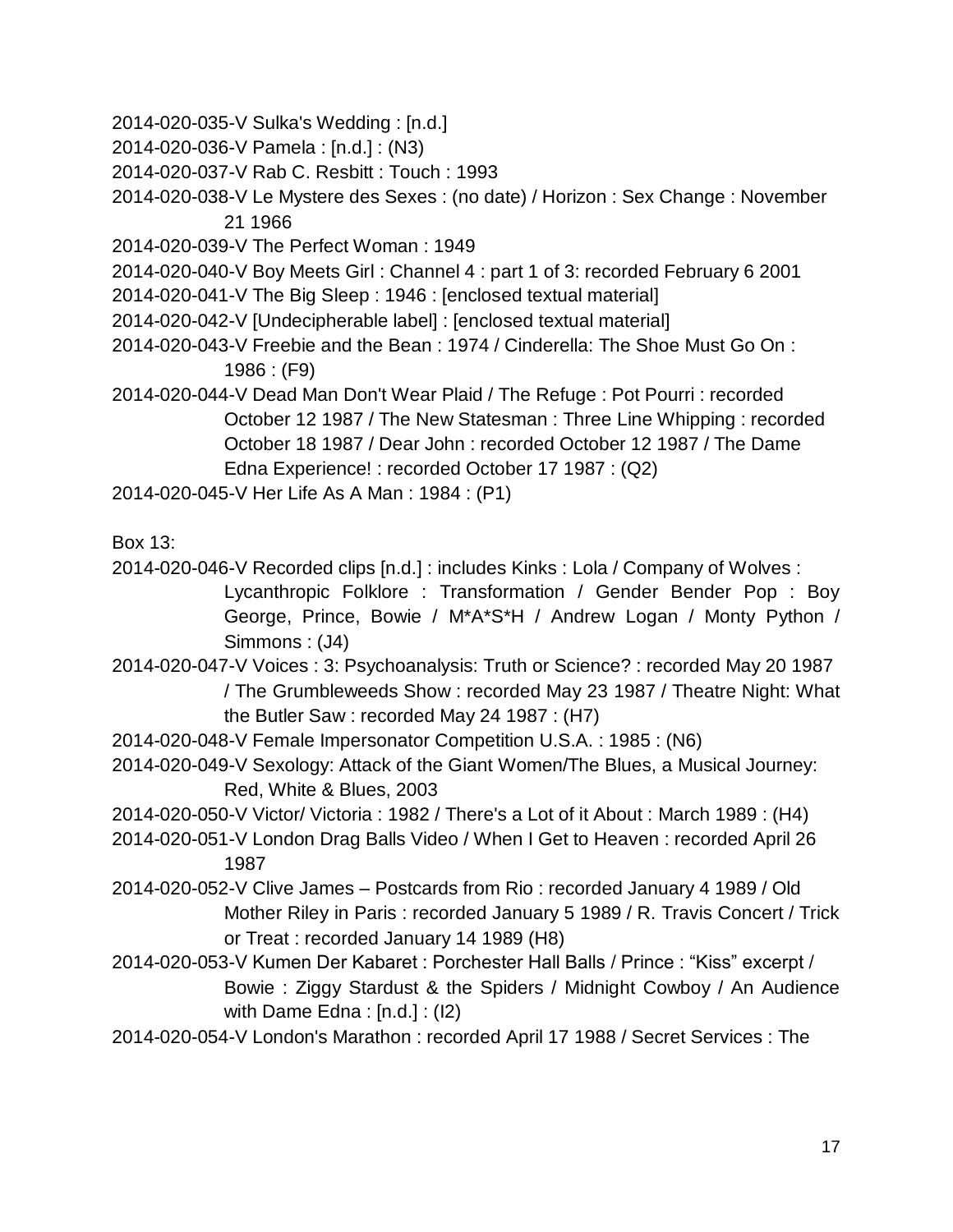- 2014-020-035-V Sulka's Wedding : [n.d.]
- 2014-020-036-V Pamela : [n.d.] : (N3)
- 2014-020-037-V Rab C. Resbitt : Touch : 1993
- 2014-020-038-V Le Mystere des Sexes : (no date) / Horizon : Sex Change : November 21 1966
- 2014-020-039-V The Perfect Woman : 1949
- 2014-020-040-V Boy Meets Girl : Channel 4 : part 1 of 3: recorded February 6 2001
- 2014-020-041-V The Big Sleep : 1946 : [enclosed textual material]
- 2014-020-042-V [Undecipherable label] : [enclosed textual material]
- 2014-020-043-V Freebie and the Bean : 1974 / Cinderella: The Shoe Must Go On : 1986 : (F9)
- 2014-020-044-V Dead Man Don't Wear Plaid / The Refuge : Pot Pourri : recorded October 12 1987 / The New Statesman : Three Line Whipping : recorded October 18 1987 / Dear John : recorded October 12 1987 / The Dame Edna Experience! : recorded October 17 1987 : (Q2)
- 2014-020-045-V Her Life As A Man : 1984 : (P1)

Box 13:

- 2014-020-046-V Recorded clips [n.d.] : includes Kinks : Lola / Company of Wolves : Lycanthropic Folklore : Transformation / Gender Bender Pop : Boy George, Prince, Bowie / M\*A\*S\*H / Andrew Logan / Monty Python / Simmons : (J4)
- 2014-020-047-V Voices : 3: Psychoanalysis: Truth or Science? : recorded May 20 1987 / The Grumbleweeds Show : recorded May 23 1987 / Theatre Night: What the Butler Saw : recorded May 24 1987 : (H7)
- 2014-020-048-V Female Impersonator Competition U.S.A. : 1985 : (N6)
- 2014-020-049-V Sexology: Attack of the Giant Women/The Blues, a Musical Journey: Red, White & Blues, 2003
- 2014-020-050-V Victor/ Victoria : 1982 / There's a Lot of it About : March 1989 : (H4)
- 2014-020-051-V London Drag Balls Video / When I Get to Heaven : recorded April 26 1987
- 2014-020-052-V Clive James Postcards from Rio : recorded January 4 1989 / Old Mother Riley in Paris : recorded January 5 1989 / R. Travis Concert / Trick or Treat : recorded January 14 1989 (H8)
- 2014-020-053-V Kumen Der Kabaret : Porchester Hall Balls / Prince : "Kiss" excerpt / Bowie : Ziggy Stardust & the Spiders / Midnight Cowboy / An Audience with Dame Edna : [n.d.] : (I2)
- 2014-020-054-V London's Marathon : recorded April 17 1988 / Secret Services : The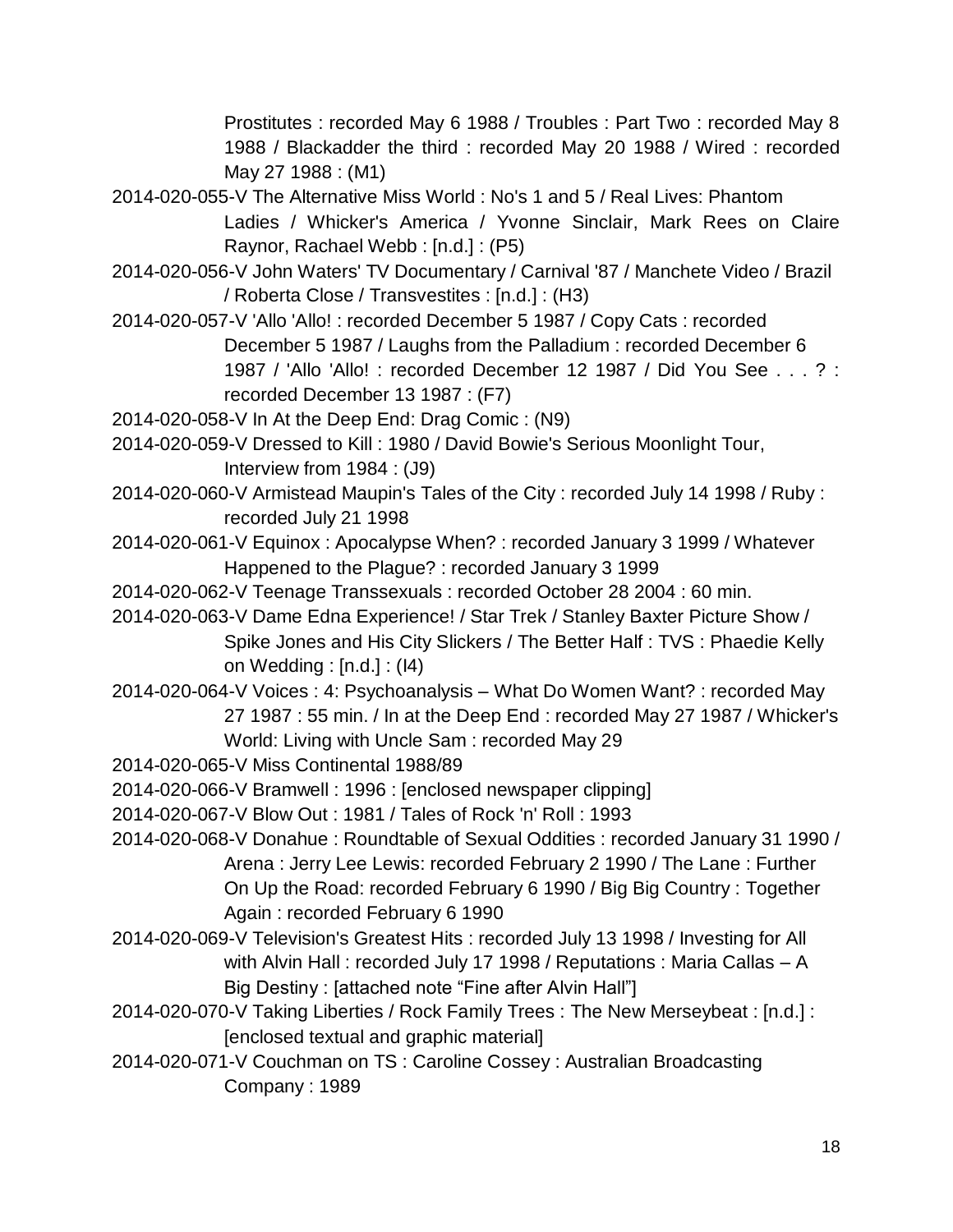Prostitutes : recorded May 6 1988 / Troubles : Part Two : recorded May 8 1988 / Blackadder the third : recorded May 20 1988 / Wired : recorded May 27 1988 : (M1)

- 2014-020-055-V The Alternative Miss World : No's 1 and 5 / Real Lives: Phantom Ladies / Whicker's America / Yvonne Sinclair, Mark Rees on Claire Raynor, Rachael Webb : [n.d.] : (P5)
- 2014-020-056-V John Waters' TV Documentary / Carnival '87 / Manchete Video / Brazil / Roberta Close / Transvestites : [n.d.] : (H3)
- 2014-020-057-V 'Allo 'Allo! : recorded December 5 1987 / Copy Cats : recorded December 5 1987 / Laughs from the Palladium : recorded December 6 1987 / 'Allo 'Allo! : recorded December 12 1987 / Did You See . . . ? : recorded December 13 1987 : (F7)
- 2014-020-058-V In At the Deep End: Drag Comic : (N9)
- 2014-020-059-V Dressed to Kill : 1980 / David Bowie's Serious Moonlight Tour, Interview from 1984 : (J9)
- 2014-020-060-V Armistead Maupin's Tales of the City : recorded July 14 1998 / Ruby : recorded July 21 1998
- 2014-020-061-V Equinox : Apocalypse When? : recorded January 3 1999 / Whatever Happened to the Plague? : recorded January 3 1999
- 2014-020-062-V Teenage Transsexuals : recorded October 28 2004 : 60 min.
- 2014-020-063-V Dame Edna Experience! / Star Trek / Stanley Baxter Picture Show / Spike Jones and His City Slickers / The Better Half : TVS : Phaedie Kelly on Wedding : [n.d.] : (I4)
- 2014-020-064-V Voices : 4: Psychoanalysis What Do Women Want? : recorded May 27 1987 : 55 min. / In at the Deep End : recorded May 27 1987 / Whicker's World: Living with Uncle Sam : recorded May 29
- 2014-020-065-V Miss Continental 1988/89
- 2014-020-066-V Bramwell : 1996 : [enclosed newspaper clipping]
- 2014-020-067-V Blow Out : 1981 / Tales of Rock 'n' Roll : 1993
- 2014-020-068-V Donahue : Roundtable of Sexual Oddities : recorded January 31 1990 / Arena : Jerry Lee Lewis: recorded February 2 1990 / The Lane : Further On Up the Road: recorded February 6 1990 / Big Big Country : Together Again : recorded February 6 1990
- 2014-020-069-V Television's Greatest Hits : recorded July 13 1998 / Investing for All with Alvin Hall : recorded July 17 1998 / Reputations : Maria Callas – A Big Destiny : [attached note "Fine after Alvin Hall"]
- 2014-020-070-V Taking Liberties / Rock Family Trees : The New Merseybeat : [n.d.] : [enclosed textual and graphic material]
- 2014-020-071-V Couchman on TS : Caroline Cossey : Australian Broadcasting Company : 1989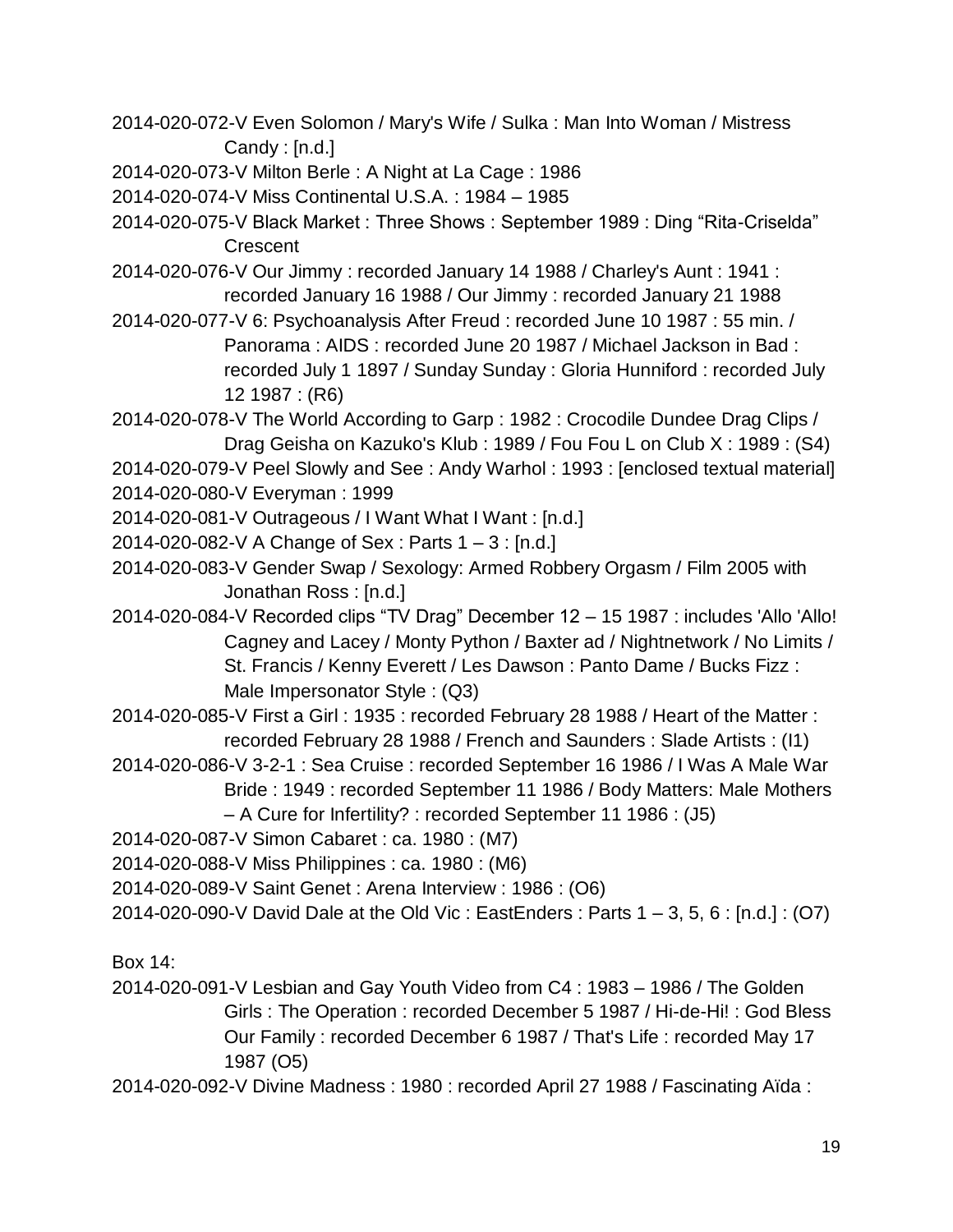- 2014-020-072-V Even Solomon / Mary's Wife / Sulka : Man Into Woman / Mistress Candy : [n.d.]
- 2014-020-073-V Milton Berle : A Night at La Cage : 1986
- 2014-020-074-V Miss Continental U.S.A. : 1984 1985
- 2014-020-075-V Black Market : Three Shows : September 1989 : Ding "Rita-Criselda" **Crescent**
- 2014-020-076-V Our Jimmy : recorded January 14 1988 / Charley's Aunt : 1941 : recorded January 16 1988 / Our Jimmy : recorded January 21 1988
- 2014-020-077-V 6: Psychoanalysis After Freud : recorded June 10 1987 : 55 min. / Panorama : AIDS : recorded June 20 1987 / Michael Jackson in Bad : recorded July 1 1897 / Sunday Sunday : Gloria Hunniford : recorded July 12 1987 : (R6)
- 2014-020-078-V The World According to Garp : 1982 : Crocodile Dundee Drag Clips / Drag Geisha on Kazuko's Klub : 1989 / Fou Fou L on Club X : 1989 : (S4)
- 2014-020-079-V Peel Slowly and See : Andy Warhol : 1993 : [enclosed textual material] 2014-020-080-V Everyman : 1999
- 2014-020-081-V Outrageous / I Want What I Want : [n.d.]
- 2014-020-082-V A Change of Sex : Parts 1 3 : [n.d.]
- 2014-020-083-V Gender Swap / Sexology: Armed Robbery Orgasm / Film 2005 with Jonathan Ross : [n.d.]
- 2014-020-084-V Recorded clips "TV Drag" December 12 15 1987 : includes 'Allo 'Allo! Cagney and Lacey / Monty Python / Baxter ad / Nightnetwork / No Limits / St. Francis / Kenny Everett / Les Dawson : Panto Dame / Bucks Fizz : Male Impersonator Style : (Q3)
- 2014-020-085-V First a Girl : 1935 : recorded February 28 1988 / Heart of the Matter : recorded February 28 1988 / French and Saunders : Slade Artists : (I1)
- 2014-020-086-V 3-2-1 : Sea Cruise : recorded September 16 1986 / I Was A Male War Bride : 1949 : recorded September 11 1986 / Body Matters: Male Mothers
	- A Cure for Infertility? : recorded September 11 1986 : (J5)
- 2014-020-087-V Simon Cabaret : ca. 1980 : (M7)
- 2014-020-088-V Miss Philippines : ca. 1980 : (M6)
- 2014-020-089-V Saint Genet : Arena Interview : 1986 : (O6)
- 2014-020-090-V David Dale at the Old Vic : EastEnders : Parts 1 3, 5, 6 : [n.d.] : (O7)

Box 14:

- 2014-020-091-V Lesbian and Gay Youth Video from C4 : 1983 1986 / The Golden Girls : The Operation : recorded December 5 1987 / Hi-de-Hi! : God Bless Our Family : recorded December 6 1987 / That's Life : recorded May 17 1987 (O5)
- 2014-020-092-V Divine Madness : 1980 : recorded April 27 1988 / Fascinating Aïda :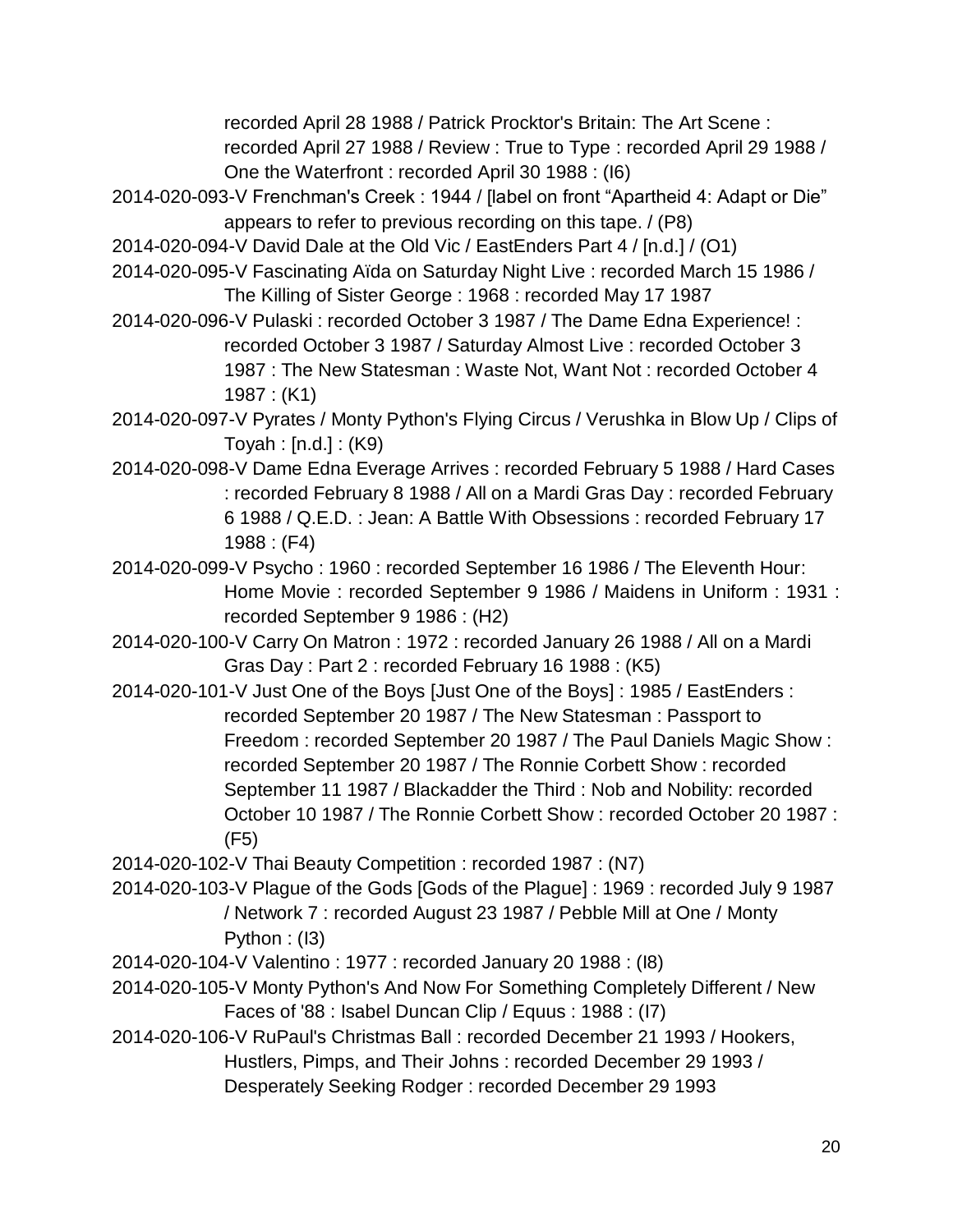recorded April 28 1988 / Patrick Procktor's Britain: The Art Scene : recorded April 27 1988 / Review : True to Type : recorded April 29 1988 /

One the Waterfront : recorded April 30 1988 : (I6)

- 2014-020-093-V Frenchman's Creek : 1944 / [label on front "Apartheid 4: Adapt or Die" appears to refer to previous recording on this tape. / (P8)
- 2014-020-094-V David Dale at the Old Vic / EastEnders Part 4 / [n.d.] / (O1)
- 2014-020-095-V Fascinating Aïda on Saturday Night Live : recorded March 15 1986 / The Killing of Sister George : 1968 : recorded May 17 1987
- 2014-020-096-V Pulaski : recorded October 3 1987 / The Dame Edna Experience! : recorded October 3 1987 / Saturday Almost Live : recorded October 3 1987 : The New Statesman : Waste Not, Want Not : recorded October 4 1987 : (K1)
- 2014-020-097-V Pyrates / Monty Python's Flying Circus / Verushka in Blow Up / Clips of Toyah : [n.d.] : (K9)
- 2014-020-098-V Dame Edna Everage Arrives : recorded February 5 1988 / Hard Cases : recorded February 8 1988 / All on a Mardi Gras Day : recorded February 6 1988 / Q.E.D. : Jean: A Battle With Obsessions : recorded February 17 1988 : (F4)
- 2014-020-099-V Psycho : 1960 : recorded September 16 1986 / The Eleventh Hour: Home Movie : recorded September 9 1986 / Maidens in Uniform : 1931 : recorded September 9 1986 : (H2)
- 2014-020-100-V Carry On Matron : 1972 : recorded January 26 1988 / All on a Mardi Gras Day : Part 2 : recorded February 16 1988 : (K5)
- 2014-020-101-V Just One of the Boys [Just One of the Boys] : 1985 / EastEnders : recorded September 20 1987 / The New Statesman : Passport to Freedom : recorded September 20 1987 / The Paul Daniels Magic Show : recorded September 20 1987 / The Ronnie Corbett Show : recorded September 11 1987 / Blackadder the Third : Nob and Nobility: recorded October 10 1987 / The Ronnie Corbett Show : recorded October 20 1987 : (F5)
- 2014-020-102-V Thai Beauty Competition : recorded 1987 : (N7)
- 2014-020-103-V Plague of the Gods [Gods of the Plague] : 1969 : recorded July 9 1987 / Network 7 : recorded August 23 1987 / Pebble Mill at One / Monty Python : (I3)
- 2014-020-104-V Valentino : 1977 : recorded January 20 1988 : (I8)
- 2014-020-105-V Monty Python's And Now For Something Completely Different / New Faces of '88 : Isabel Duncan Clip / Equus : 1988 : (I7)
- 2014-020-106-V RuPaul's Christmas Ball : recorded December 21 1993 / Hookers, Hustlers, Pimps, and Their Johns : recorded December 29 1993 / Desperately Seeking Rodger : recorded December 29 1993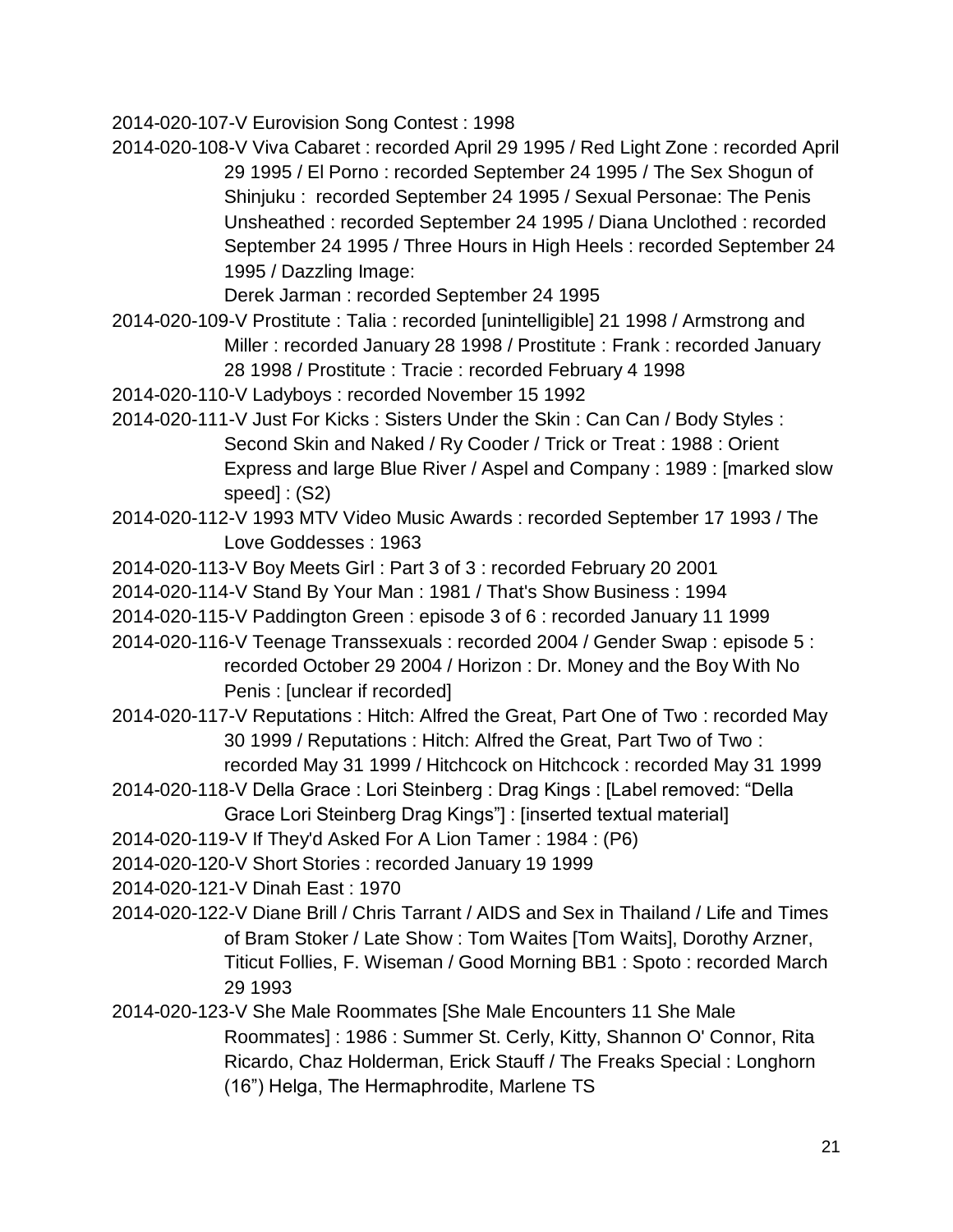2014-020-107-V Eurovision Song Contest : 1998

2014-020-108-V Viva Cabaret : recorded April 29 1995 / Red Light Zone : recorded April 29 1995 / El Porno : recorded September 24 1995 / The Sex Shogun of Shinjuku : recorded September 24 1995 / Sexual Personae: The Penis Unsheathed : recorded September 24 1995 / Diana Unclothed : recorded September 24 1995 / Three Hours in High Heels : recorded September 24 1995 / Dazzling Image:

Derek Jarman : recorded September 24 1995

- 2014-020-109-V Prostitute : Talia : recorded [unintelligible] 21 1998 / Armstrong and Miller : recorded January 28 1998 / Prostitute : Frank : recorded January 28 1998 / Prostitute : Tracie : recorded February 4 1998
- 2014-020-110-V Ladyboys : recorded November 15 1992
- 2014-020-111-V Just For Kicks : Sisters Under the Skin : Can Can / Body Styles : Second Skin and Naked / Ry Cooder / Trick or Treat : 1988 : Orient Express and large Blue River / Aspel and Company : 1989 : [marked slow speed] : (S2)
- 2014-020-112-V 1993 MTV Video Music Awards : recorded September 17 1993 / The Love Goddesses : 1963
- 2014-020-113-V Boy Meets Girl : Part 3 of 3 : recorded February 20 2001
- 2014-020-114-V Stand By Your Man : 1981 / That's Show Business : 1994
- 2014-020-115-V Paddington Green : episode 3 of 6 : recorded January 11 1999

2014-020-116-V Teenage Transsexuals : recorded 2004 / Gender Swap : episode 5 : recorded October 29 2004 / Horizon : Dr. Money and the Boy With No Penis : [unclear if recorded]

- 2014-020-117-V Reputations : Hitch: Alfred the Great, Part One of Two : recorded May 30 1999 / Reputations : Hitch: Alfred the Great, Part Two of Two : recorded May 31 1999 / Hitchcock on Hitchcock : recorded May 31 1999
- 2014-020-118-V Della Grace : Lori Steinberg : Drag Kings : [Label removed: "Della Grace Lori Steinberg Drag Kings"] : [inserted textual material]
- 2014-020-119-V If They'd Asked For A Lion Tamer : 1984 : (P6)
- 2014-020-120-V Short Stories : recorded January 19 1999
- 2014-020-121-V Dinah East : 1970
- 2014-020-122-V Diane Brill / Chris Tarrant / AIDS and Sex in Thailand / Life and Times of Bram Stoker / Late Show : Tom Waites [Tom Waits], Dorothy Arzner, Titicut Follies, F. Wiseman / Good Morning BB1 : Spoto : recorded March 29 1993
- 2014-020-123-V She Male Roommates [She Male Encounters 11 She Male Roommates] : 1986 : Summer St. Cerly, Kitty, Shannon O' Connor, Rita Ricardo, Chaz Holderman, Erick Stauff / The Freaks Special : Longhorn (16") Helga, The Hermaphrodite, Marlene TS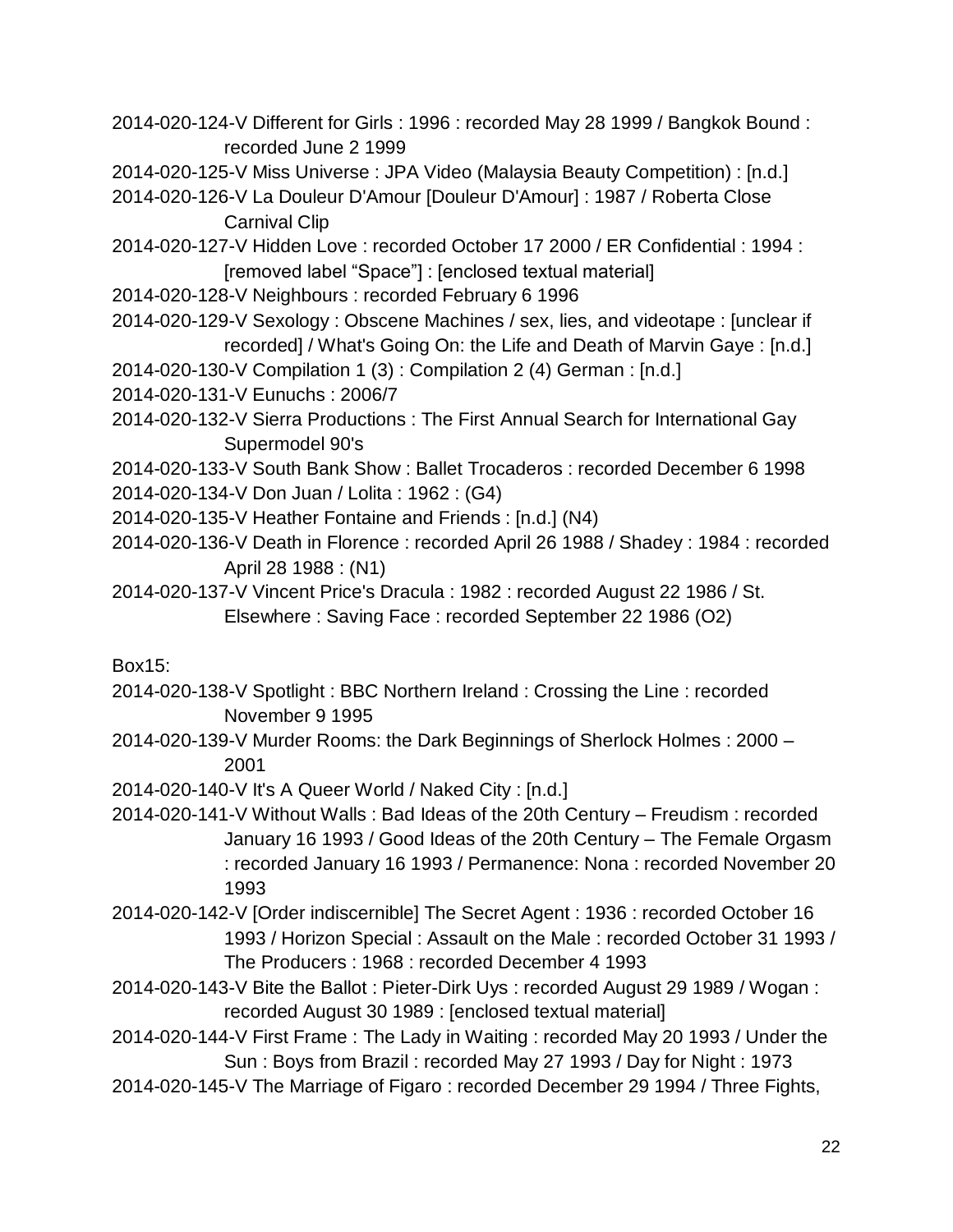- 2014-020-124-V Different for Girls : 1996 : recorded May 28 1999 / Bangkok Bound : recorded June 2 1999
- 2014-020-125-V Miss Universe : JPA Video (Malaysia Beauty Competition) : [n.d.]
- 2014-020-126-V La Douleur D'Amour [Douleur D'Amour] : 1987 / Roberta Close Carnival Clip
- 2014-020-127-V Hidden Love : recorded October 17 2000 / ER Confidential : 1994 : [removed label "Space"] : [enclosed textual material]
- 2014-020-128-V Neighbours : recorded February 6 1996
- 2014-020-129-V Sexology : Obscene Machines / sex, lies, and videotape : [unclear if recorded] / What's Going On: the Life and Death of Marvin Gaye : [n.d.]
- 2014-020-130-V Compilation 1 (3) : Compilation 2 (4) German : [n.d.]
- 2014-020-131-V Eunuchs : 2006/7
- 2014-020-132-V Sierra Productions : The First Annual Search for International Gay Supermodel 90's
- 2014-020-133-V South Bank Show : Ballet Trocaderos : recorded December 6 1998 2014-020-134-V Don Juan / Lolita : 1962 : (G4)
- 2014-020-135-V Heather Fontaine and Friends : [n.d.] (N4)
- 2014-020-136-V Death in Florence : recorded April 26 1988 / Shadey : 1984 : recorded April 28 1988 : (N1)
- 2014-020-137-V Vincent Price's Dracula : 1982 : recorded August 22 1986 / St. Elsewhere : Saving Face : recorded September 22 1986 (O2)

#### Box15:

- 2014-020-138-V Spotlight : BBC Northern Ireland : Crossing the Line : recorded November 9 1995
- 2014-020-139-V Murder Rooms: the Dark Beginnings of Sherlock Holmes : 2000 2001
- 2014-020-140-V It's A Queer World / Naked City : [n.d.]
- 2014-020-141-V Without Walls : Bad Ideas of the 20th Century Freudism : recorded January 16 1993 / Good Ideas of the 20th Century – The Female Orgasm : recorded January 16 1993 / Permanence: Nona : recorded November 20 1993
- 2014-020-142-V [Order indiscernible] The Secret Agent : 1936 : recorded October 16 1993 / Horizon Special : Assault on the Male : recorded October 31 1993 / The Producers : 1968 : recorded December 4 1993
- 2014-020-143-V Bite the Ballot : Pieter-Dirk Uys : recorded August 29 1989 / Wogan : recorded August 30 1989 : [enclosed textual material]
- 2014-020-144-V First Frame : The Lady in Waiting : recorded May 20 1993 / Under the Sun : Boys from Brazil : recorded May 27 1993 / Day for Night : 1973
- 2014-020-145-V The Marriage of Figaro : recorded December 29 1994 / Three Fights,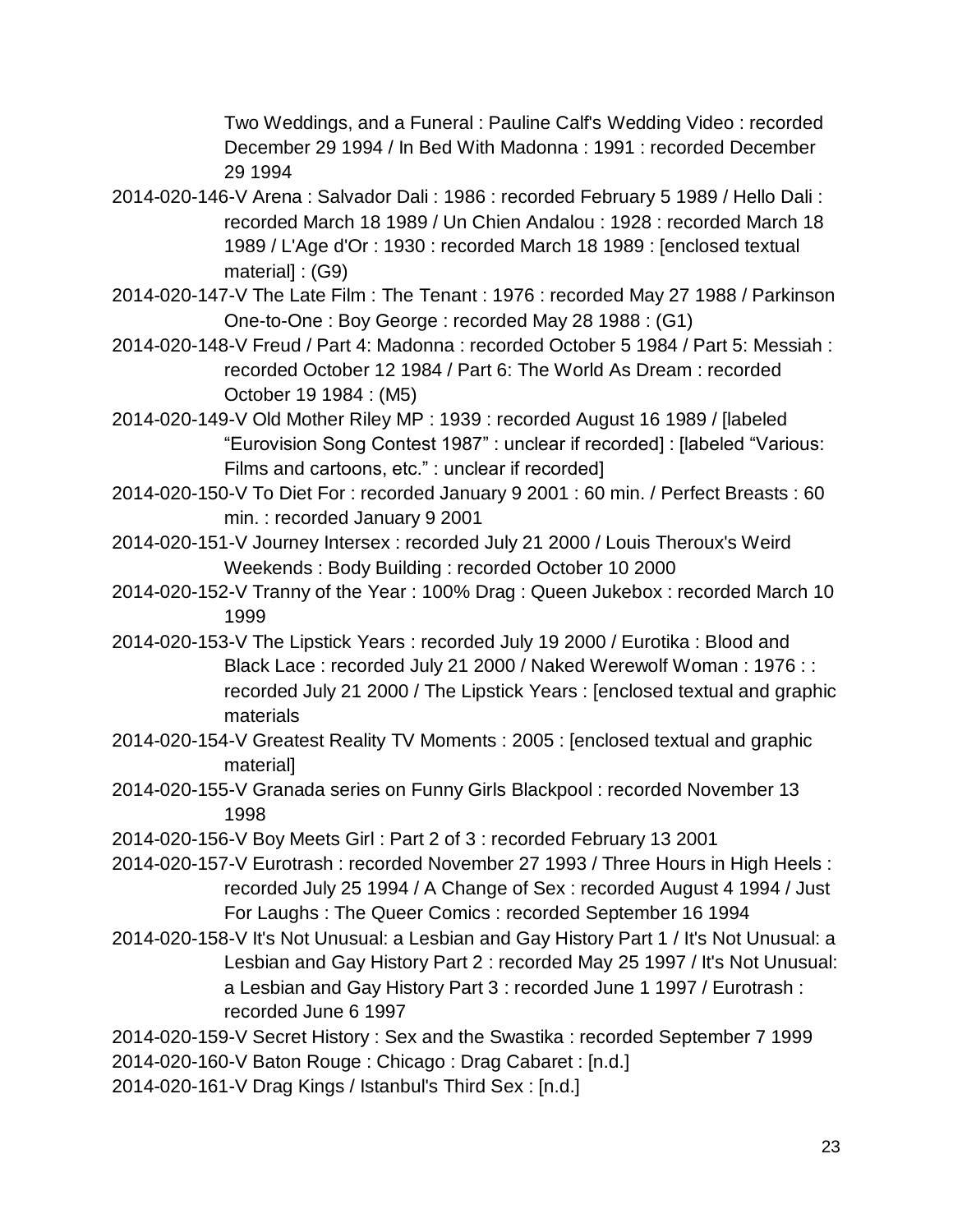Two Weddings, and a Funeral : Pauline Calf's Wedding Video : recorded December 29 1994 / In Bed With Madonna : 1991 : recorded December 29 1994

- 2014-020-146-V Arena : Salvador Dali : 1986 : recorded February 5 1989 / Hello Dali : recorded March 18 1989 / Un Chien Andalou : 1928 : recorded March 18 1989 / L'Age d'Or : 1930 : recorded March 18 1989 : [enclosed textual material] : (G9)
- 2014-020-147-V The Late Film : The Tenant : 1976 : recorded May 27 1988 / Parkinson One-to-One : Boy George : recorded May 28 1988 : (G1)
- 2014-020-148-V Freud / Part 4: Madonna : recorded October 5 1984 / Part 5: Messiah : recorded October 12 1984 / Part 6: The World As Dream : recorded October 19 1984 : (M5)
- 2014-020-149-V Old Mother Riley MP : 1939 : recorded August 16 1989 / [labeled "Eurovision Song Contest 1987" : unclear if recorded] : [labeled "Various: Films and cartoons, etc." : unclear if recorded]
- 2014-020-150-V To Diet For : recorded January 9 2001 : 60 min. / Perfect Breasts : 60 min. : recorded January 9 2001
- 2014-020-151-V Journey Intersex : recorded July 21 2000 / Louis Theroux's Weird Weekends : Body Building : recorded October 10 2000
- 2014-020-152-V Tranny of the Year : 100% Drag : Queen Jukebox : recorded March 10 1999
- 2014-020-153-V The Lipstick Years : recorded July 19 2000 / Eurotika : Blood and Black Lace: recorded July 21 2000 / Naked Werewolf Woman: 1976:: recorded July 21 2000 / The Lipstick Years : [enclosed textual and graphic materials
- 2014-020-154-V Greatest Reality TV Moments : 2005 : [enclosed textual and graphic material]
- 2014-020-155-V Granada series on Funny Girls Blackpool : recorded November 13 1998
- 2014-020-156-V Boy Meets Girl : Part 2 of 3 : recorded February 13 2001
- 2014-020-157-V Eurotrash : recorded November 27 1993 / Three Hours in High Heels : recorded July 25 1994 / A Change of Sex : recorded August 4 1994 / Just For Laughs : The Queer Comics : recorded September 16 1994
- 2014-020-158-V It's Not Unusual: a Lesbian and Gay History Part 1 / It's Not Unusual: a Lesbian and Gay History Part 2 : recorded May 25 1997 / It's Not Unusual: a Lesbian and Gay History Part 3 : recorded June 1 1997 / Eurotrash : recorded June 6 1997
- 2014-020-159-V Secret History : Sex and the Swastika : recorded September 7 1999
- 2014-020-160-V Baton Rouge : Chicago : Drag Cabaret : [n.d.]
- 2014-020-161-V Drag Kings / Istanbul's Third Sex : [n.d.]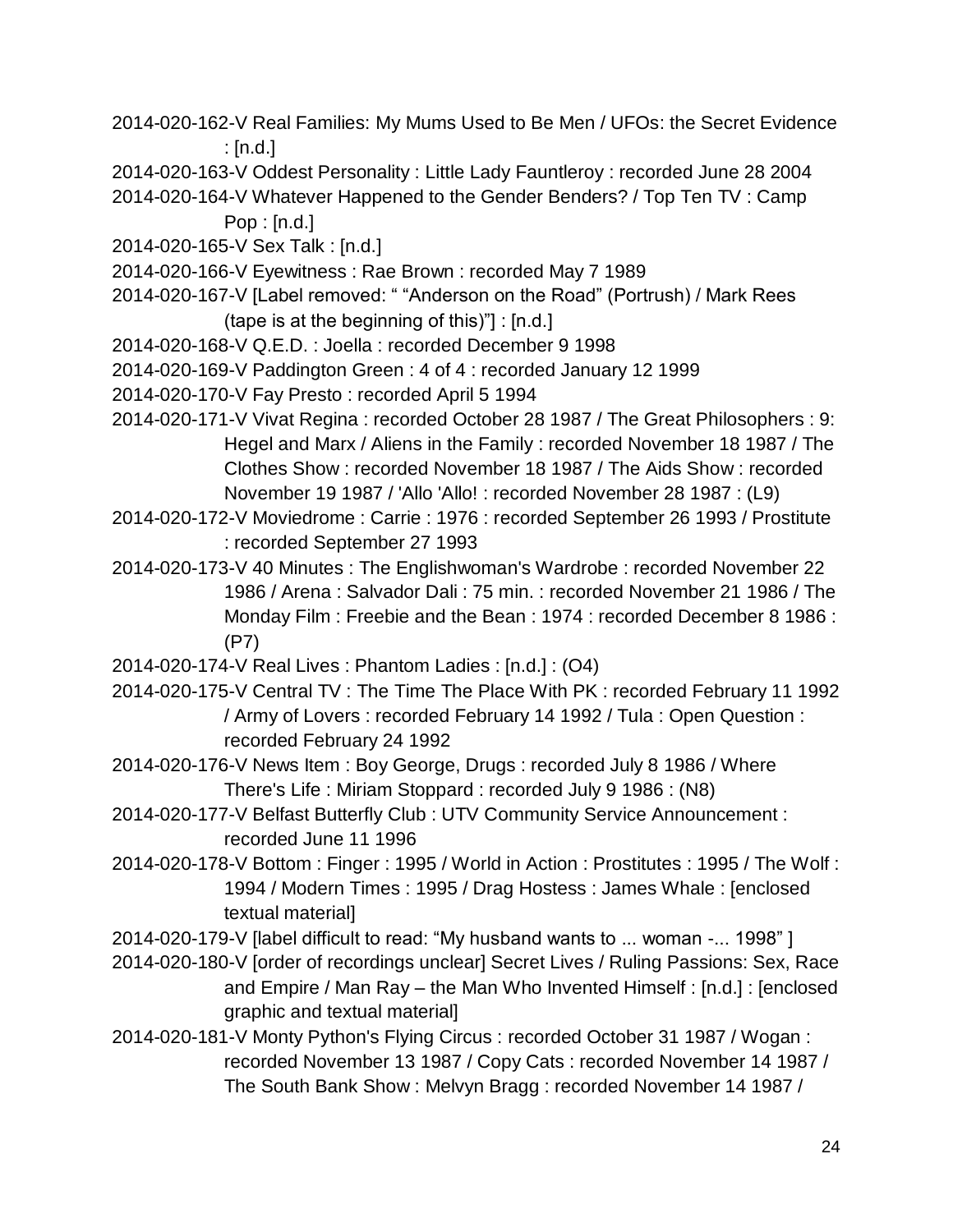- 2014-020-162-V Real Families: My Mums Used to Be Men / UFOs: the Secret Evidence  $:$  [n.d.]
- 2014-020-163-V Oddest Personality : Little Lady Fauntleroy : recorded June 28 2004
- 2014-020-164-V Whatever Happened to the Gender Benders? / Top Ten TV : Camp Pop : [n.d.]
- 2014-020-165-V Sex Talk : [n.d.]
- 2014-020-166-V Eyewitness : Rae Brown : recorded May 7 1989
- 2014-020-167-V [Label removed: " "Anderson on the Road" (Portrush) / Mark Rees (tape is at the beginning of this)"] : [n.d.]
- 2014-020-168-V Q.E.D. : Joella : recorded December 9 1998
- 2014-020-169-V Paddington Green : 4 of 4 : recorded January 12 1999
- 2014-020-170-V Fay Presto : recorded April 5 1994
- 2014-020-171-V Vivat Regina : recorded October 28 1987 / The Great Philosophers : 9: Hegel and Marx / Aliens in the Family : recorded November 18 1987 / The Clothes Show : recorded November 18 1987 / The Aids Show : recorded November 19 1987 / 'Allo 'Allo! : recorded November 28 1987 : (L9)
- 2014-020-172-V Moviedrome : Carrie : 1976 : recorded September 26 1993 / Prostitute : recorded September 27 1993
- 2014-020-173-V 40 Minutes : The Englishwoman's Wardrobe : recorded November 22 1986 / Arena : Salvador Dali : 75 min. : recorded November 21 1986 / The Monday Film : Freebie and the Bean : 1974 : recorded December 8 1986 : (P7)
- 2014-020-174-V Real Lives : Phantom Ladies : [n.d.] : (O4)
- 2014-020-175-V Central TV : The Time The Place With PK : recorded February 11 1992 / Army of Lovers : recorded February 14 1992 / Tula : Open Question : recorded February 24 1992
- 2014-020-176-V News Item : Boy George, Drugs : recorded July 8 1986 / Where There's Life : Miriam Stoppard : recorded July 9 1986 : (N8)
- 2014-020-177-V Belfast Butterfly Club : UTV Community Service Announcement : recorded June 11 1996
- 2014-020-178-V Bottom : Finger : 1995 / World in Action : Prostitutes : 1995 / The Wolf : 1994 / Modern Times : 1995 / Drag Hostess : James Whale : [enclosed textual material]
- 2014-020-179-V [label difficult to read: "My husband wants to ... woman -... 1998" ]
- 2014-020-180-V [order of recordings unclear] Secret Lives / Ruling Passions: Sex, Race and Empire / Man Ray – the Man Who Invented Himself : [n.d.] : [enclosed graphic and textual material]
- 2014-020-181-V Monty Python's Flying Circus : recorded October 31 1987 / Wogan : recorded November 13 1987 / Copy Cats : recorded November 14 1987 / The South Bank Show : Melvyn Bragg : recorded November 14 1987 /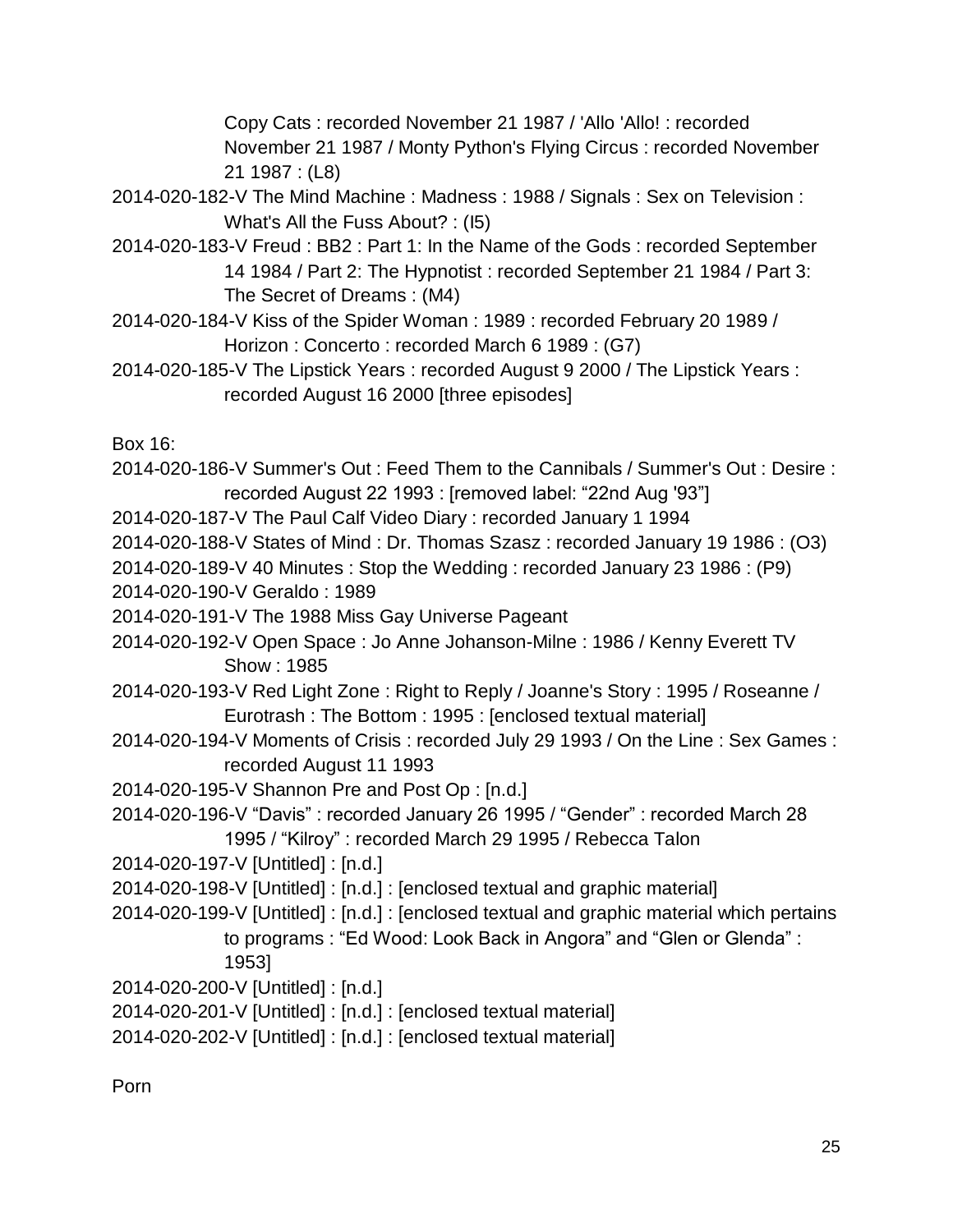Copy Cats : recorded November 21 1987 / 'Allo 'Allo! : recorded November 21 1987 / Monty Python's Flying Circus : recorded November 21 1987 : (L8)

- 2014-020-182-V The Mind Machine : Madness : 1988 / Signals : Sex on Television : What's All the Fuss About? : (I5)
- 2014-020-183-V Freud : BB2 : Part 1: In the Name of the Gods : recorded September 14 1984 / Part 2: The Hypnotist : recorded September 21 1984 / Part 3: The Secret of Dreams : (M4)
- 2014-020-184-V Kiss of the Spider Woman : 1989 : recorded February 20 1989 / Horizon : Concerto : recorded March 6 1989 : (G7)
- 2014-020-185-V The Lipstick Years : recorded August 9 2000 / The Lipstick Years : recorded August 16 2000 [three episodes]

Box 16:

- 2014-020-186-V Summer's Out : Feed Them to the Cannibals / Summer's Out : Desire : recorded August 22 1993 : [removed label: "22nd Aug '93"]
- 2014-020-187-V The Paul Calf Video Diary : recorded January 1 1994
- 2014-020-188-V States of Mind : Dr. Thomas Szasz : recorded January 19 1986 : (O3)
- 2014-020-189-V 40 Minutes : Stop the Wedding : recorded January 23 1986 : (P9)
- 2014-020-190-V Geraldo : 1989
- 2014-020-191-V The 1988 Miss Gay Universe Pageant
- 2014-020-192-V Open Space : Jo Anne Johanson-Milne : 1986 / Kenny Everett TV Show : 1985
- 2014-020-193-V Red Light Zone : Right to Reply / Joanne's Story : 1995 / Roseanne / Eurotrash : The Bottom : 1995 : [enclosed textual material]
- 2014-020-194-V Moments of Crisis : recorded July 29 1993 / On the Line : Sex Games : recorded August 11 1993
- 2014-020-195-V Shannon Pre and Post Op : [n.d.]
- 2014-020-196-V "Davis" : recorded January 26 1995 / "Gender" : recorded March 28 1995 / "Kilroy" : recorded March 29 1995 / Rebecca Talon
- 2014-020-197-V [Untitled] : [n.d.]
- 2014-020-198-V [Untitled] : [n.d.] : [enclosed textual and graphic material]
- 2014-020-199-V [Untitled] : [n.d.] : [enclosed textual and graphic material which pertains to programs : "Ed Wood: Look Back in Angora" and "Glen or Glenda" :
	- 1953]
- 2014-020-200-V [Untitled] : [n.d.]
- 2014-020-201-V [Untitled] : [n.d.] : [enclosed textual material]
- 2014-020-202-V [Untitled] : [n.d.] : [enclosed textual material]

Porn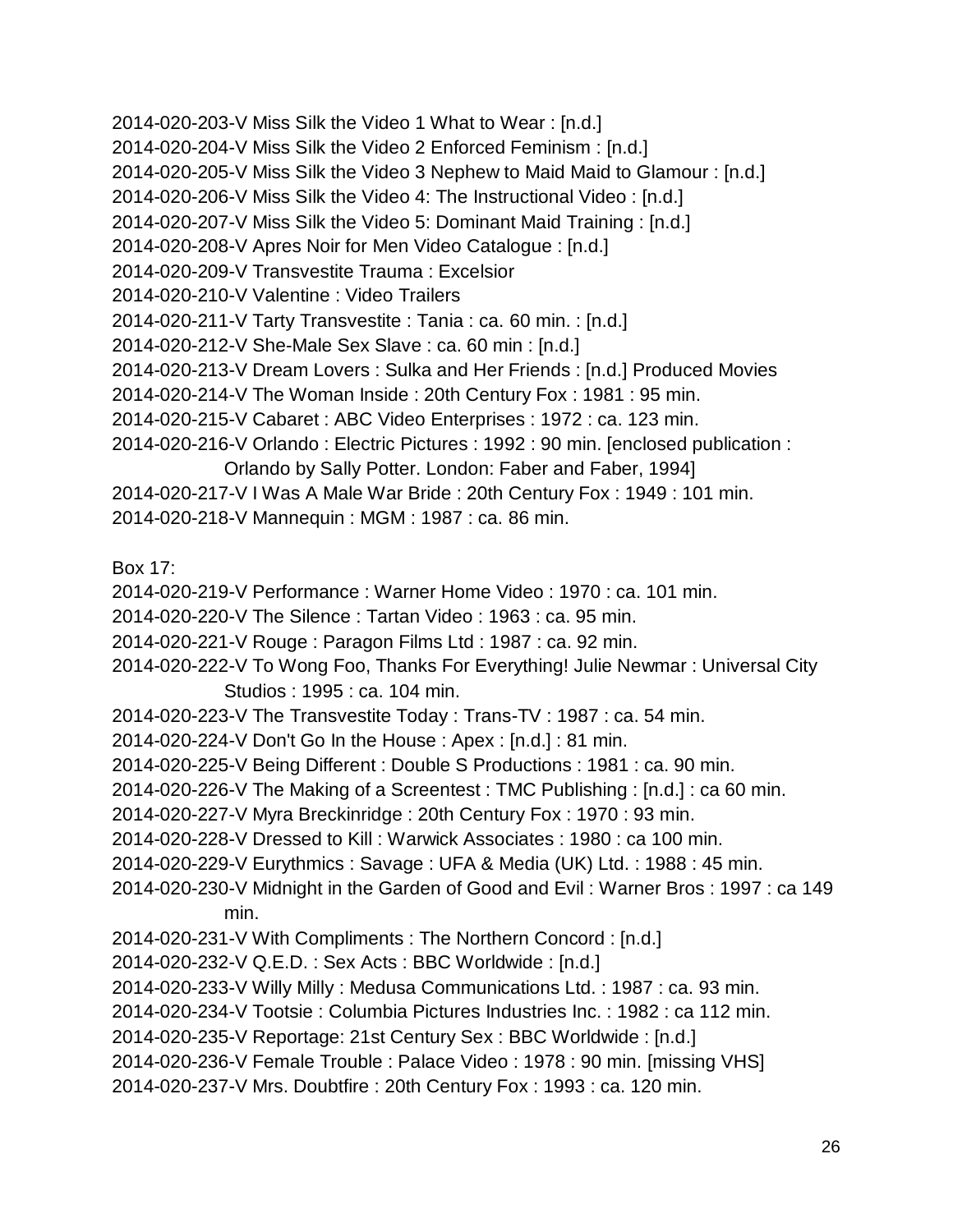2014-020-203-V Miss Silk the Video 1 What to Wear : [n.d.] 2014-020-204-V Miss Silk the Video 2 Enforced Feminism : [n.d.] 2014-020-205-V Miss Silk the Video 3 Nephew to Maid Maid to Glamour : [n.d.] 2014-020-206-V Miss Silk the Video 4: The Instructional Video : [n.d.] 2014-020-207-V Miss Silk the Video 5: Dominant Maid Training : [n.d.] 2014-020-208-V Apres Noir for Men Video Catalogue : [n.d.] 2014-020-209-V Transvestite Trauma : Excelsior 2014-020-210-V Valentine : Video Trailers 2014-020-211-V Tarty Transvestite : Tania : ca. 60 min. : [n.d.] 2014-020-212-V She-Male Sex Slave : ca. 60 min : [n.d.] 2014-020-213-V Dream Lovers : Sulka and Her Friends : [n.d.] Produced Movies 2014-020-214-V The Woman Inside : 20th Century Fox : 1981 : 95 min. 2014-020-215-V Cabaret : ABC Video Enterprises : 1972 : ca. 123 min. 2014-020-216-V Orlando : Electric Pictures : 1992 : 90 min. [enclosed publication : Orlando by Sally Potter. London: Faber and Faber, 1994] 2014-020-217-V I Was A Male War Bride : 20th Century Fox : 1949 : 101 min. 2014-020-218-V Mannequin : MGM : 1987 : ca. 86 min.

Box 17:

2014-020-219-V Performance : Warner Home Video : 1970 : ca. 101 min.

2014-020-220-V The Silence : Tartan Video : 1963 : ca. 95 min.

2014-020-221-V Rouge : Paragon Films Ltd : 1987 : ca. 92 min.

2014-020-222-V To Wong Foo, Thanks For Everything! Julie Newmar : Universal City Studios : 1995 : ca. 104 min.

2014-020-223-V The Transvestite Today : Trans-TV : 1987 : ca. 54 min.

2014-020-224-V Don't Go In the House : Apex : [n.d.] : 81 min.

2014-020-225-V Being Different : Double S Productions : 1981 : ca. 90 min.

2014-020-226-V The Making of a Screentest : TMC Publishing : [n.d.] : ca 60 min.

2014-020-227-V Myra Breckinridge : 20th Century Fox : 1970 : 93 min.

2014-020-228-V Dressed to Kill : Warwick Associates : 1980 : ca 100 min.

2014-020-229-V Eurythmics : Savage : UFA & Media (UK) Ltd. : 1988 : 45 min.

2014-020-230-V Midnight in the Garden of Good and Evil : Warner Bros : 1997 : ca 149 min.

2014-020-231-V With Compliments : The Northern Concord : [n.d.]

2014-020-232-V Q.E.D. : Sex Acts : BBC Worldwide : [n.d.]

2014-020-233-V Willy Milly : Medusa Communications Ltd. : 1987 : ca. 93 min.

2014-020-234-V Tootsie : Columbia Pictures Industries Inc. : 1982 : ca 112 min.

2014-020-235-V Reportage: 21st Century Sex : BBC Worldwide : [n.d.]

2014-020-236-V Female Trouble : Palace Video : 1978 : 90 min. [missing VHS]

2014-020-237-V Mrs. Doubtfire : 20th Century Fox : 1993 : ca. 120 min.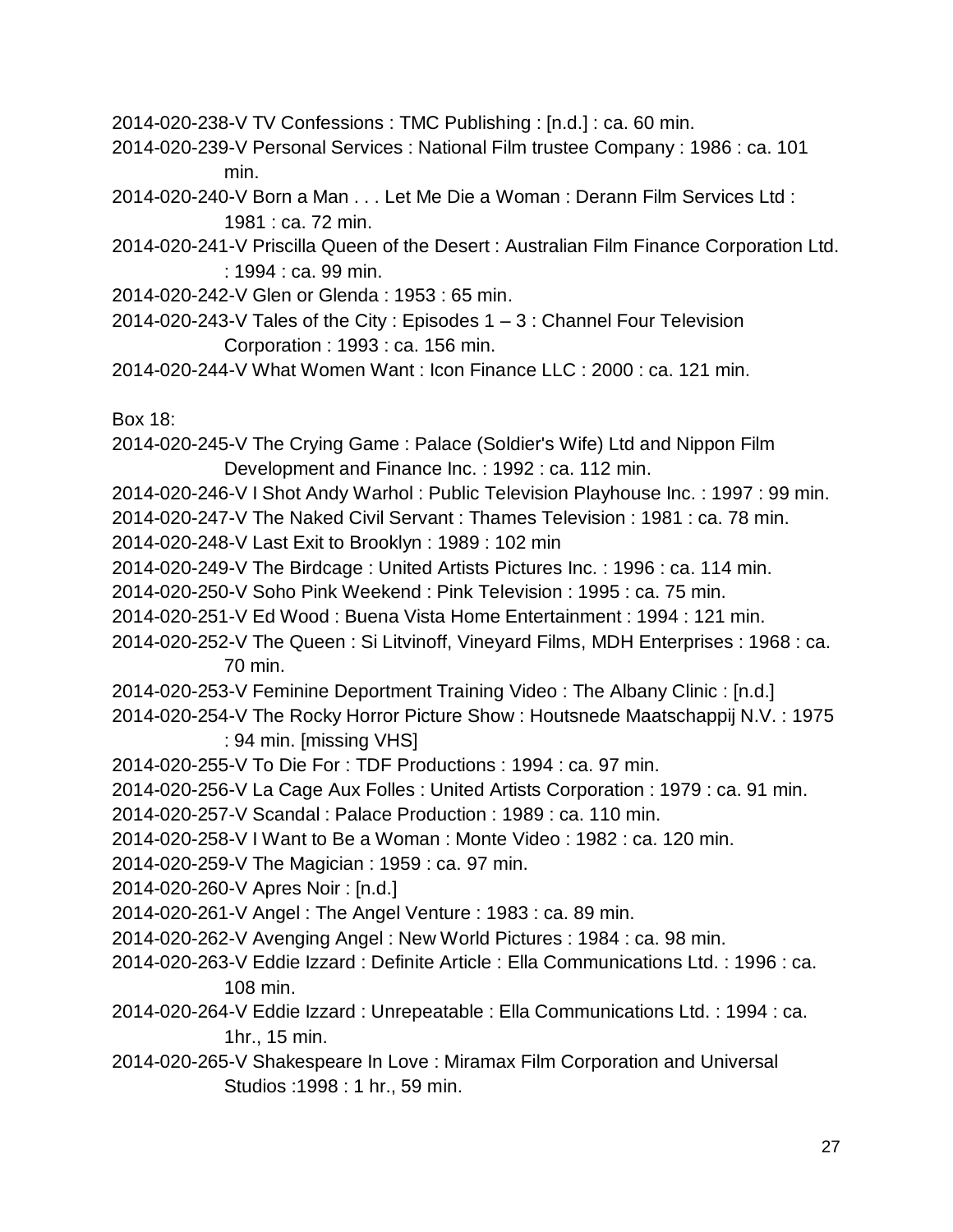2014-020-238-V TV Confessions : TMC Publishing : [n.d.] : ca. 60 min.

- 2014-020-239-V Personal Services : National Film trustee Company : 1986 : ca. 101 min.
- 2014-020-240-V Born a Man . . . Let Me Die a Woman : Derann Film Services Ltd : 1981 : ca. 72 min.
- 2014-020-241-V Priscilla Queen of the Desert : Australian Film Finance Corporation Ltd. : 1994 : ca. 99 min.
- 2014-020-242-V Glen or Glenda : 1953 : 65 min.
- 2014-020-243-V Tales of the City : Episodes  $1 3$  : Channel Four Television Corporation : 1993 : ca. 156 min.
- 2014-020-244-V What Women Want : Icon Finance LLC : 2000 : ca. 121 min.

Box 18:

- 2014-020-245-V The Crying Game : Palace (Soldier's Wife) Ltd and Nippon Film Development and Finance Inc. : 1992 : ca. 112 min.
- 2014-020-246-V I Shot Andy Warhol : Public Television Playhouse Inc. : 1997 : 99 min.
- 2014-020-247-V The Naked Civil Servant : Thames Television : 1981 : ca. 78 min.
- 2014-020-248-V Last Exit to Brooklyn : 1989 : 102 min
- 2014-020-249-V The Birdcage : United Artists Pictures Inc. : 1996 : ca. 114 min.
- 2014-020-250-V Soho Pink Weekend : Pink Television : 1995 : ca. 75 min.
- 2014-020-251-V Ed Wood : Buena Vista Home Entertainment : 1994 : 121 min.
- 2014-020-252-V The Queen : Si Litvinoff, Vineyard Films, MDH Enterprises : 1968 : ca. 70 min.
- 2014-020-253-V Feminine Deportment Training Video : The Albany Clinic : [n.d.]
- 2014-020-254-V The Rocky Horror Picture Show : Houtsnede Maatschappij N.V. : 1975 : 94 min. [missing VHS]
- 2014-020-255-V To Die For : TDF Productions : 1994 : ca. 97 min.
- 2014-020-256-V La Cage Aux Folles : United Artists Corporation : 1979 : ca. 91 min.
- 2014-020-257-V Scandal : Palace Production : 1989 : ca. 110 min.
- 2014-020-258-V I Want to Be a Woman : Monte Video : 1982 : ca. 120 min.
- 2014-020-259-V The Magician : 1959 : ca. 97 min.
- 2014-020-260-V Apres Noir : [n.d.]
- 2014-020-261-V Angel : The Angel Venture : 1983 : ca. 89 min.
- 2014-020-262-V Avenging Angel : New World Pictures : 1984 : ca. 98 min.
- 2014-020-263-V Eddie Izzard : Definite Article : Ella Communications Ltd. : 1996 : ca. 108 min.
- 2014-020-264-V Eddie Izzard : Unrepeatable : Ella Communications Ltd. : 1994 : ca. 1hr., 15 min.
- 2014-020-265-V Shakespeare In Love : Miramax Film Corporation and Universal Studios :1998 : 1 hr., 59 min.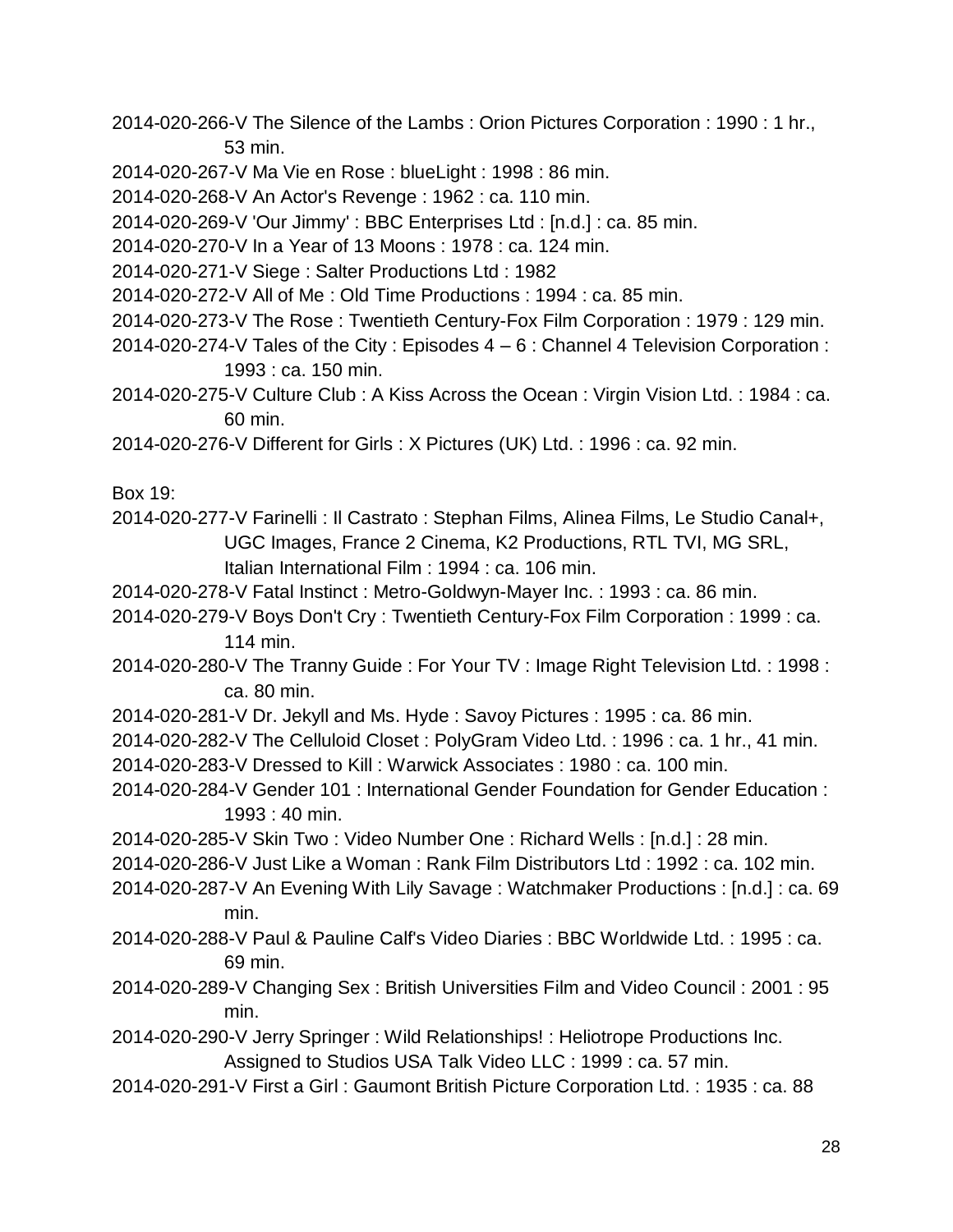- 2014-020-266-V The Silence of the Lambs : Orion Pictures Corporation : 1990 : 1 hr., 53 min.
- 2014-020-267-V Ma Vie en Rose : blueLight : 1998 : 86 min.
- 2014-020-268-V An Actor's Revenge : 1962 : ca. 110 min.
- 2014-020-269-V 'Our Jimmy' : BBC Enterprises Ltd : [n.d.] : ca. 85 min.
- 2014-020-270-V In a Year of 13 Moons : 1978 : ca. 124 min.
- 2014-020-271-V Siege : Salter Productions Ltd : 1982
- 2014-020-272-V All of Me : Old Time Productions : 1994 : ca. 85 min.
- 2014-020-273-V The Rose : Twentieth Century-Fox Film Corporation : 1979 : 129 min.
- 2014-020-274-V Tales of the City : Episodes 4 6 : Channel 4 Television Corporation : 1993 : ca. 150 min.
- 2014-020-275-V Culture Club : A Kiss Across the Ocean : Virgin Vision Ltd. : 1984 : ca. 60 min.
- 2014-020-276-V Different for Girls : X Pictures (UK) Ltd. : 1996 : ca. 92 min.

Box 19:

- 2014-020-277-V Farinelli : Il Castrato : Stephan Films, Alinea Films, Le Studio Canal+, UGC Images, France 2 Cinema, K2 Productions, RTL TVI, MG SRL, Italian International Film : 1994 : ca. 106 min.
- 2014-020-278-V Fatal Instinct : Metro-Goldwyn-Mayer Inc. : 1993 : ca. 86 min.
- 2014-020-279-V Boys Don't Cry : Twentieth Century-Fox Film Corporation : 1999 : ca. 114 min.
- 2014-020-280-V The Tranny Guide : For Your TV : Image Right Television Ltd. : 1998 : ca. 80 min.
- 2014-020-281-V Dr. Jekyll and Ms. Hyde : Savoy Pictures : 1995 : ca. 86 min.
- 2014-020-282-V The Celluloid Closet : PolyGram Video Ltd. : 1996 : ca. 1 hr., 41 min. 2014-020-283-V Dressed to Kill : Warwick Associates : 1980 : ca. 100 min.
- 2014-020-284-V Gender 101 : International Gender Foundation for Gender Education : 1993 : 40 min.
- 2014-020-285-V Skin Two : Video Number One : Richard Wells : [n.d.] : 28 min.
- 2014-020-286-V Just Like a Woman : Rank Film Distributors Ltd : 1992 : ca. 102 min.
- 2014-020-287-V An Evening With Lily Savage : Watchmaker Productions : [n.d.] : ca. 69 min.
- 2014-020-288-V Paul & Pauline Calf's Video Diaries : BBC Worldwide Ltd. : 1995 : ca. 69 min.
- 2014-020-289-V Changing Sex : British Universities Film and Video Council : 2001 : 95 min.
- 2014-020-290-V Jerry Springer : Wild Relationships! : Heliotrope Productions Inc. Assigned to Studios USA Talk Video LLC : 1999 : ca. 57 min.
- 2014-020-291-V First a Girl : Gaumont British Picture Corporation Ltd. : 1935 : ca. 88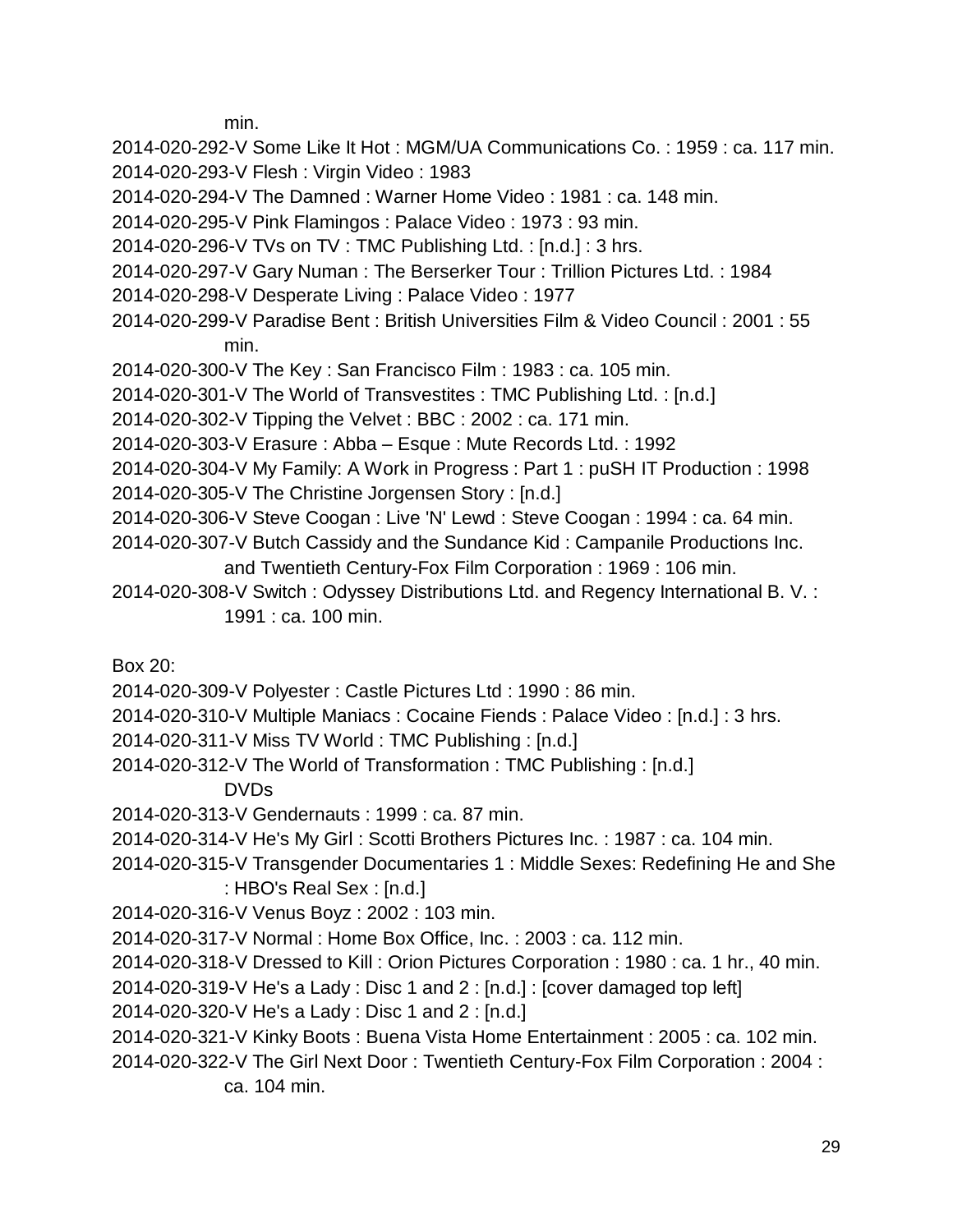min.

2014-020-292-V Some Like It Hot : MGM/UA Communications Co. : 1959 : ca. 117 min. 2014-020-293-V Flesh : Virgin Video : 1983

2014-020-294-V The Damned : Warner Home Video : 1981 : ca. 148 min.

2014-020-295-V Pink Flamingos : Palace Video : 1973 : 93 min.

2014-020-296-V TVs on TV : TMC Publishing Ltd. : [n.d.] : 3 hrs.

2014-020-297-V Gary Numan : The Berserker Tour : Trillion Pictures Ltd. : 1984

- 2014-020-298-V Desperate Living : Palace Video : 1977
- 2014-020-299-V Paradise Bent : British Universities Film & Video Council : 2001 : 55 min.
- 2014-020-300-V The Key : San Francisco Film : 1983 : ca. 105 min.

2014-020-301-V The World of Transvestites : TMC Publishing Ltd. : [n.d.]

2014-020-302-V Tipping the Velvet : BBC : 2002 : ca. 171 min.

2014-020-303-V Erasure : Abba – Esque : Mute Records Ltd. : 1992

2014-020-304-V My Family: A Work in Progress : Part 1 : puSH IT Production : 1998

2014-020-305-V The Christine Jorgensen Story : [n.d.]

- 2014-020-306-V Steve Coogan : Live 'N' Lewd : Steve Coogan : 1994 : ca. 64 min.
- 2014-020-307-V Butch Cassidy and the Sundance Kid : Campanile Productions Inc. and Twentieth Century-Fox Film Corporation : 1969 : 106 min.
- 2014-020-308-V Switch : Odyssey Distributions Ltd. and Regency International B. V. : 1991 : ca. 100 min.

Box 20:

2014-020-309-V Polyester : Castle Pictures Ltd : 1990 : 86 min.

2014-020-310-V Multiple Maniacs : Cocaine Fiends : Palace Video : [n.d.] : 3 hrs.

2014-020-311-V Miss TV World : TMC Publishing : [n.d.]

2014-020-312-V The World of Transformation : TMC Publishing : [n.d.]

DVDs

2014-020-313-V Gendernauts : 1999 : ca. 87 min.

2014-020-314-V He's My Girl : Scotti Brothers Pictures Inc. : 1987 : ca. 104 min.

2014-020-315-V Transgender Documentaries 1 : Middle Sexes: Redefining He and She : HBO's Real Sex : [n.d.]

2014-020-316-V Venus Boyz : 2002 : 103 min.

2014-020-317-V Normal : Home Box Office, Inc. : 2003 : ca. 112 min.

2014-020-318-V Dressed to Kill : Orion Pictures Corporation : 1980 : ca. 1 hr., 40 min.

2014-020-319-V He's a Lady : Disc 1 and 2 : [n.d.] : [cover damaged top left]

2014-020-320-V He's a Lady : Disc 1 and 2 : [n.d.]

2014-020-321-V Kinky Boots : Buena Vista Home Entertainment : 2005 : ca. 102 min.

2014-020-322-V The Girl Next Door : Twentieth Century-Fox Film Corporation : 2004 : ca. 104 min.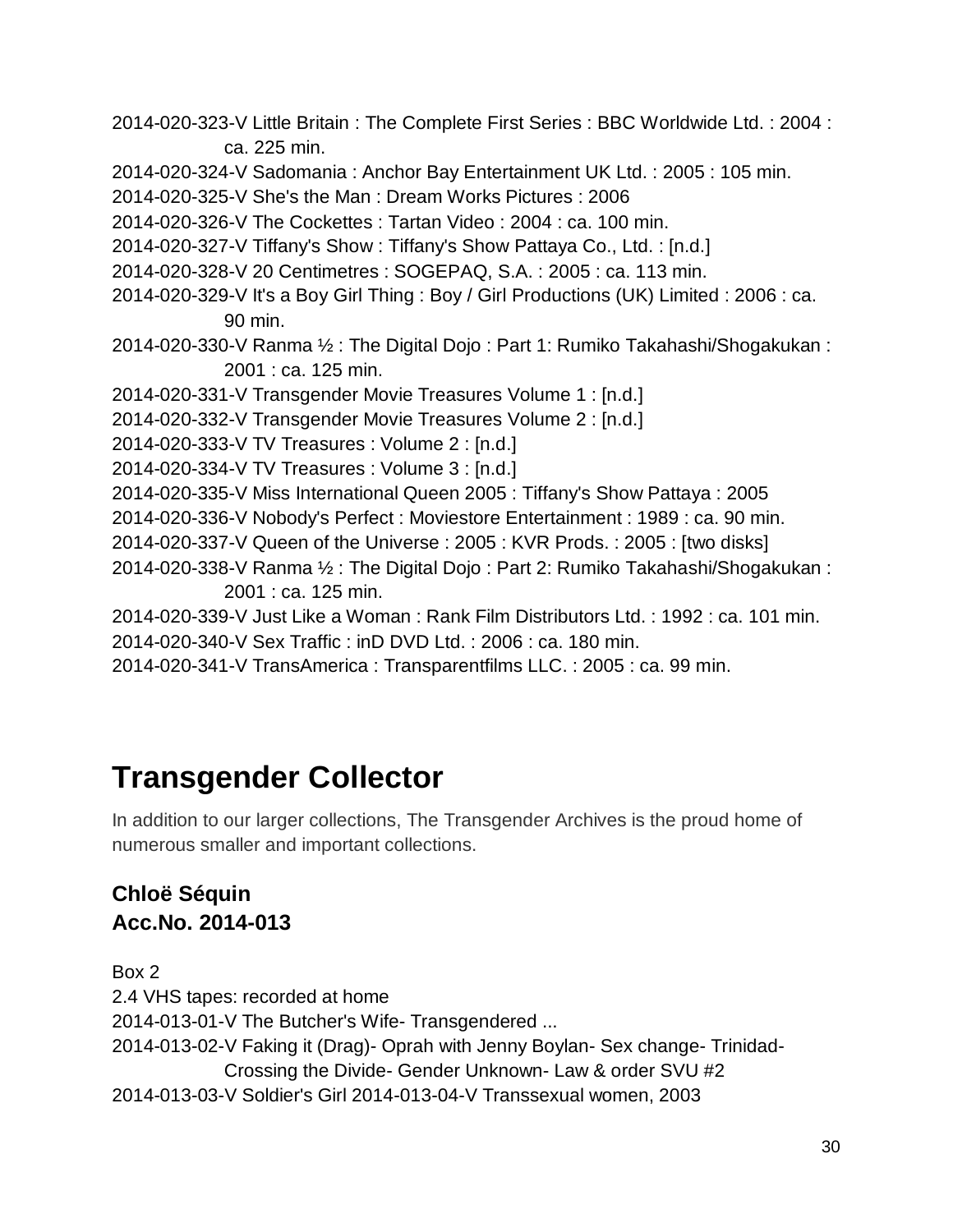- 2014-020-323-V Little Britain : The Complete First Series : BBC Worldwide Ltd. : 2004 : ca. 225 min.
- 2014-020-324-V Sadomania : Anchor Bay Entertainment UK Ltd. : 2005 : 105 min.
- 2014-020-325-V She's the Man : Dream Works Pictures : 2006
- 2014-020-326-V The Cockettes : Tartan Video : 2004 : ca. 100 min.
- 2014-020-327-V Tiffany's Show : Tiffany's Show Pattaya Co., Ltd. : [n.d.]
- 2014-020-328-V 20 Centimetres : SOGEPAQ, S.A. : 2005 : ca. 113 min.
- 2014-020-329-V It's a Boy Girl Thing : Boy / Girl Productions (UK) Limited : 2006 : ca. 90 min.
- 2014-020-330-V Ranma ½ : The Digital Dojo : Part 1: Rumiko Takahashi/Shogakukan : 2001 : ca. 125 min.
- 2014-020-331-V Transgender Movie Treasures Volume 1 : [n.d.]
- 2014-020-332-V Transgender Movie Treasures Volume 2 : [n.d.]
- 2014-020-333-V TV Treasures : Volume 2 : [n.d.]
- 2014-020-334-V TV Treasures : Volume 3 : [n.d.]
- 2014-020-335-V Miss International Queen 2005 : Tiffany's Show Pattaya : 2005
- 2014-020-336-V Nobody's Perfect : Moviestore Entertainment : 1989 : ca. 90 min.
- 2014-020-337-V Queen of the Universe : 2005 : KVR Prods. : 2005 : [two disks]
- 2014-020-338-V Ranma ½ : The Digital Dojo : Part 2: Rumiko Takahashi/Shogakukan : 2001 : ca. 125 min.
- 2014-020-339-V Just Like a Woman : Rank Film Distributors Ltd. : 1992 : ca. 101 min. 2014-020-340-V Sex Traffic : inD DVD Ltd. : 2006 : ca. 180 min.
- 2014-020-341-V TransAmerica : Transparentfilms LLC. : 2005 : ca. 99 min.

# <span id="page-29-0"></span>**Transgender Collector**

In addition to our larger collections, The Transgender Archives is the proud home of numerous smaller and important collections.

### **Chloë Séquin Acc.No. 2014-013**

Box 2 2.4 VHS tapes: recorded at home 2014-013-01-V The Butcher's Wife- Transgendered ... 2014-013-02-V Faking it (Drag)- Oprah with Jenny Boylan- Sex change- Trinidad-Crossing the Divide- Gender Unknown- Law & order SVU #2 2014-013-03-V Soldier's Girl 2014-013-04-V Transsexual women, 2003